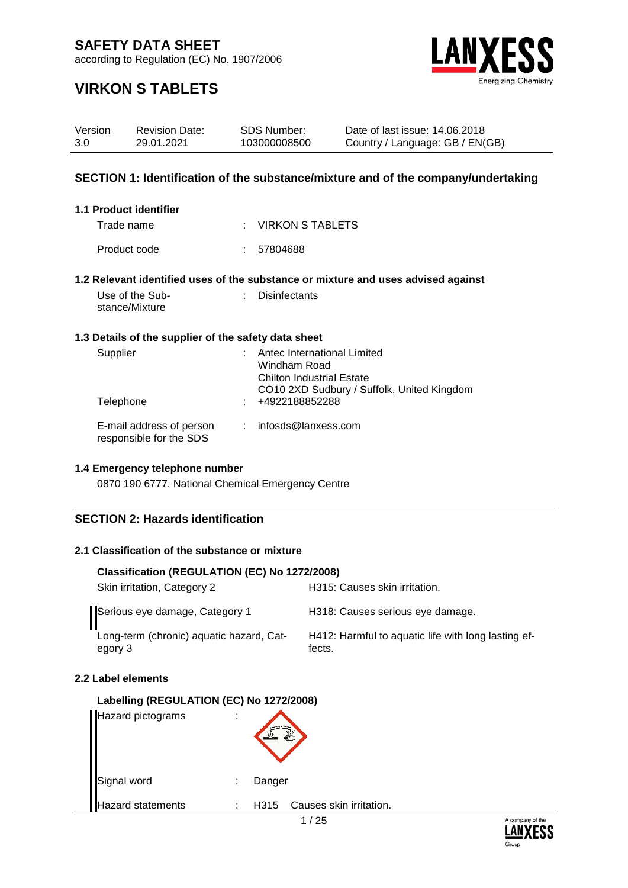according to Regulation (EC) No. 1907/2006



### **VIRKON S TABLETS**

| Version<br>3.0                                                                    |                | <b>Revision Date:</b><br>29.01.2021                  |    | <b>SDS Number:</b><br>103000008500                                              | Date of last issue: 14.06.2018<br>Country / Language: GB / EN(GB)                 |  |  |
|-----------------------------------------------------------------------------------|----------------|------------------------------------------------------|----|---------------------------------------------------------------------------------|-----------------------------------------------------------------------------------|--|--|
| SECTION 1: Identification of the substance/mixture and of the company/undertaking |                |                                                      |    |                                                                                 |                                                                                   |  |  |
|                                                                                   |                | 1.1 Product identifier                               |    |                                                                                 |                                                                                   |  |  |
|                                                                                   | Trade name     |                                                      |    | <b>VIRKON S TABLETS</b>                                                         |                                                                                   |  |  |
|                                                                                   | Product code   |                                                      |    | 57804688                                                                        |                                                                                   |  |  |
|                                                                                   |                |                                                      |    |                                                                                 | 1.2 Relevant identified uses of the substance or mixture and uses advised against |  |  |
|                                                                                   | stance/Mixture | Use of the Sub-                                      |    | <b>Disinfectants</b>                                                            |                                                                                   |  |  |
|                                                                                   |                | 1.3 Details of the supplier of the safety data sheet |    |                                                                                 |                                                                                   |  |  |
|                                                                                   | Supplier       |                                                      |    | Antec International Limited<br>Windham Road<br><b>Chilton Industrial Estate</b> | CO10 2XD Sudbury / Suffolk, United Kingdom                                        |  |  |
|                                                                                   | Telephone      |                                                      |    | +4922188852288                                                                  |                                                                                   |  |  |
|                                                                                   |                | E-mail address of person<br>responsible for the SDS  | t. | infosds@lanxess.com                                                             |                                                                                   |  |  |

### **1.4 Emergency telephone number**

0870 190 6777. National Chemical Emergency Centre

#### **SECTION 2: Hazards identification**

#### **2.1 Classification of the substance or mixture**

| Classification (REGULATION (EC) No 1272/2008)       |                                                               |  |  |  |  |  |  |  |
|-----------------------------------------------------|---------------------------------------------------------------|--|--|--|--|--|--|--|
| Skin irritation, Category 2                         | H315: Causes skin irritation.                                 |  |  |  |  |  |  |  |
| Serious eye damage, Category 1                      | H318: Causes serious eye damage.                              |  |  |  |  |  |  |  |
| Long-term (chronic) aquatic hazard, Cat-<br>egory 3 | H412: Harmful to aquatic life with long lasting ef-<br>fects. |  |  |  |  |  |  |  |

#### **2.2 Label elements**

| Labelling (REGULATION (EC) No 1272/2008) |   |                                 |
|------------------------------------------|---|---------------------------------|
| Hazard pictograms                        |   |                                 |
| Signal word                              | ÷ | Danger                          |
| lazard statements                        | ٠ | Causes skin irritation.<br>H315 |

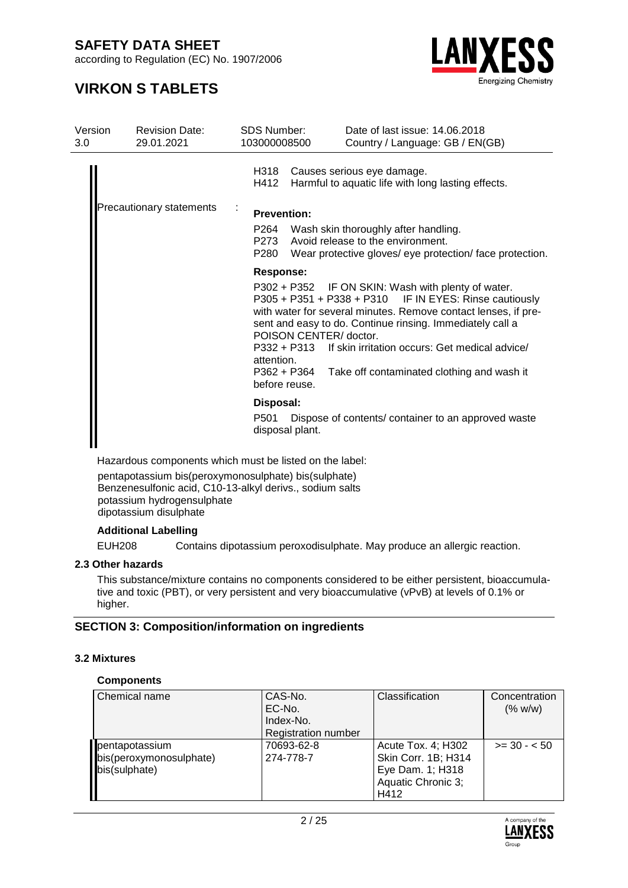according to Regulation (EC) No. 1907/2006



### **VIRKON S TABLETS**

| Version<br>3.0 | <b>Revision Date:</b><br>29.01.2021 | <b>SDS Number:</b><br>103000008500                                   |                                                                         | Date of last issue: 14.06.2018<br>Country / Language: GB / EN(GB)                                                                                                                                                                                                                                                                                                                                  |
|----------------|-------------------------------------|----------------------------------------------------------------------|-------------------------------------------------------------------------|----------------------------------------------------------------------------------------------------------------------------------------------------------------------------------------------------------------------------------------------------------------------------------------------------------------------------------------------------------------------------------------------------|
|                |                                     | H318<br>H412                                                         |                                                                         | Causes serious eye damage.<br>Harmful to aquatic life with long lasting effects.                                                                                                                                                                                                                                                                                                                   |
|                | Precautionary statements            | <b>Prevention:</b>                                                   |                                                                         |                                                                                                                                                                                                                                                                                                                                                                                                    |
|                |                                     | P264<br>P273<br>P280                                                 |                                                                         | Wash skin thoroughly after handling.<br>Avoid release to the environment.<br>Wear protective gloves/ eye protection/ face protection.                                                                                                                                                                                                                                                              |
|                |                                     | <b>Response:</b><br>attention.<br>before reuse.<br>Disposal:<br>P501 | POISON CENTER/ doctor.<br>P332 + P313<br>P362 + P364<br>disposal plant. | P302 + P352 IF ON SKIN: Wash with plenty of water.<br>P305 + P351 + P338 + P310 IF IN EYES: Rinse cautiously<br>with water for several minutes. Remove contact lenses, if pre-<br>sent and easy to do. Continue rinsing. Immediately call a<br>If skin irritation occurs: Get medical advice/<br>Take off contaminated clothing and wash it<br>Dispose of contents/ container to an approved waste |

Hazardous components which must be listed on the label:

pentapotassium bis(peroxymonosulphate) bis(sulphate) Benzenesulfonic acid, C10-13-alkyl derivs., sodium salts potassium hydrogensulphate dipotassium disulphate

#### **Additional Labelling**

EUH208 Contains dipotassium peroxodisulphate. May produce an allergic reaction.

#### **2.3 Other hazards**

This substance/mixture contains no components considered to be either persistent, bioaccumulative and toxic (PBT), or very persistent and very bioaccumulative (vPvB) at levels of 0.1% or higher.

#### **SECTION 3: Composition/information on ingredients**

#### **3.2 Mixtures**

#### **Components**

| Chemical name                                              | CAS-No.<br>EC-No.<br>Index-No.<br><b>Registration number</b> | Classification                                                                              | Concentration<br>(% w/w) |
|------------------------------------------------------------|--------------------------------------------------------------|---------------------------------------------------------------------------------------------|--------------------------|
| pentapotassium<br>bis(peroxymonosulphate)<br>bis(sulphate) | 70693-62-8<br>274-778-7                                      | Acute Tox. 4; H302<br>Skin Corr. 1B; H314<br>Eye Dam. 1; H318<br>Aquatic Chronic 3;<br>H412 | $>= 30 - 50$             |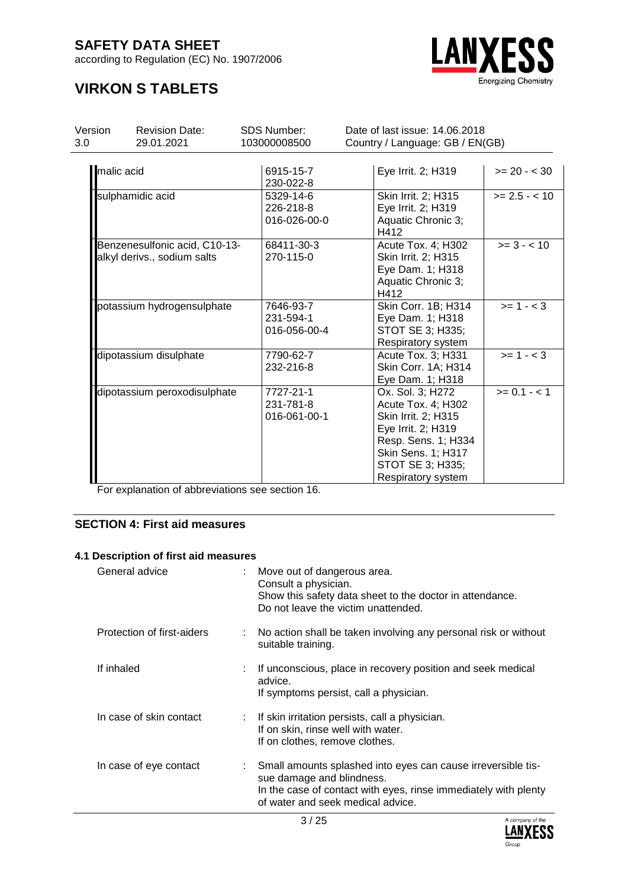according to Regulation (EC) No. 1907/2006



### **VIRKON S TABLETS**

| Version    | <b>Revision Date:</b>                                        | <b>SDS Number:</b>                     | Date of last issue: 14.06.2018                                                                                                                                             |                 |  |
|------------|--------------------------------------------------------------|----------------------------------------|----------------------------------------------------------------------------------------------------------------------------------------------------------------------------|-----------------|--|
| 3.0        | 29.01.2021                                                   | 103000008500                           | Country / Language: GB / EN(GB)                                                                                                                                            |                 |  |
| malic acid |                                                              | 6915-15-7<br>230-022-8                 | Eye Irrit. 2; H319                                                                                                                                                         | $>= 20 - < 30$  |  |
|            | sulphamidic acid                                             | 5329-14-6<br>226-218-8<br>016-026-00-0 | Skin Irrit. 2; H315<br>Eye Irrit. 2; H319<br>Aquatic Chronic 3;<br>H412                                                                                                    | $>= 2.5 - < 10$ |  |
|            | Benzenesulfonic acid, C10-13-<br>alkyl derivs., sodium salts | 68411-30-3<br>270-115-0                | Acute Tox. 4; H302<br>Skin Irrit. 2; H315<br>Eye Dam. 1; H318<br>Aquatic Chronic 3;<br>H412                                                                                | $>= 3 - < 10$   |  |
|            | potassium hydrogensulphate                                   | 7646-93-7<br>231-594-1<br>016-056-00-4 | Skin Corr. 1B; H314<br>Eye Dam. 1; H318<br>STOT SE 3; H335;<br>Respiratory system                                                                                          | $>= 1 - < 3$    |  |
|            | dipotassium disulphate                                       | 7790-62-7<br>232-216-8                 | Acute Tox. 3; H331<br>Skin Corr. 1A; H314<br>Eye Dam. 1; H318                                                                                                              | $>= 1 - < 3$    |  |
|            | dipotassium peroxodisulphate                                 | 7727-21-1<br>231-781-8<br>016-061-00-1 | Ox. Sol. 3; H272<br>Acute Tox. 4; H302<br>Skin Irrit. 2; H315<br>Eye Irrit. 2; H319<br>Resp. Sens. 1; H334<br>Skin Sens. 1; H317<br>STOT SE 3; H335;<br>Respiratory system | $>= 0.1 - 1$    |  |

For explanation of abbreviations see section 16.

#### **SECTION 4: First aid measures**

#### **4.1 Description of first aid measures**

| General advice             | : Move out of dangerous area.<br>Consult a physician.<br>Show this safety data sheet to the doctor in attendance.<br>Do not leave the victim unattended.                                          |
|----------------------------|---------------------------------------------------------------------------------------------------------------------------------------------------------------------------------------------------|
| Protection of first-aiders | : No action shall be taken involving any personal risk or without<br>suitable training.                                                                                                           |
| If inhaled                 | : If unconscious, place in recovery position and seek medical<br>advice.<br>If symptoms persist, call a physician.                                                                                |
| In case of skin contact    | : If skin irritation persists, call a physician.<br>If on skin, rinse well with water.<br>If on clothes, remove clothes.                                                                          |
| In case of eye contact     | Small amounts splashed into eyes can cause irreversible tis-<br>sue damage and blindness.<br>In the case of contact with eyes, rinse immediately with plenty<br>of water and seek medical advice. |

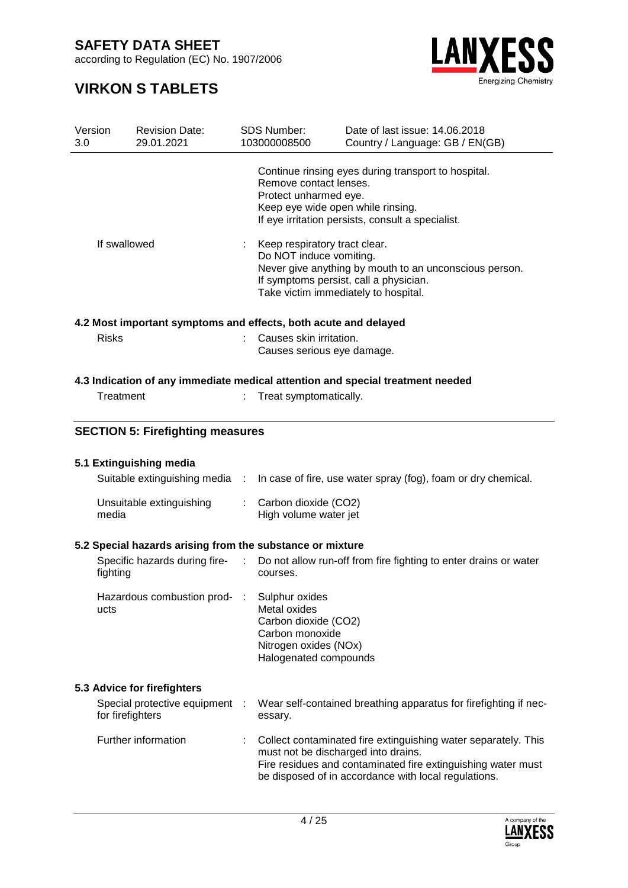according to Regulation (EC) No. 1907/2006



| Version<br>3.0 |                  | <b>Revision Date:</b><br>29.01.2021                                                             |    | <b>SDS Number:</b><br>103000008500                                                                                                                                                                   | Date of last issue: 14,06,2018<br>Country / Language: GB / EN(GB)                                                                                                                      |  |  |
|----------------|------------------|-------------------------------------------------------------------------------------------------|----|------------------------------------------------------------------------------------------------------------------------------------------------------------------------------------------------------|----------------------------------------------------------------------------------------------------------------------------------------------------------------------------------------|--|--|
|                |                  |                                                                                                 |    | Remove contact lenses.<br>Protect unharmed eye.<br>Keep eye wide open while rinsing.                                                                                                                 | Continue rinsing eyes during transport to hospital.<br>If eye irritation persists, consult a specialist.                                                                               |  |  |
| If swallowed   |                  |                                                                                                 |    | Keep respiratory tract clear.<br>Do NOT induce vomiting.<br>Never give anything by mouth to an unconscious person.<br>If symptoms persist, call a physician.<br>Take victim immediately to hospital. |                                                                                                                                                                                        |  |  |
|                |                  | 4.2 Most important symptoms and effects, both acute and delayed                                 |    |                                                                                                                                                                                                      |                                                                                                                                                                                        |  |  |
|                | <b>Risks</b>     |                                                                                                 |    | Causes skin irritation.<br>Causes serious eye damage.                                                                                                                                                |                                                                                                                                                                                        |  |  |
|                |                  |                                                                                                 |    |                                                                                                                                                                                                      | 4.3 Indication of any immediate medical attention and special treatment needed                                                                                                         |  |  |
|                | Treatment        |                                                                                                 |    | Treat symptomatically.                                                                                                                                                                               |                                                                                                                                                                                        |  |  |
|                |                  | <b>SECTION 5: Firefighting measures</b>                                                         |    |                                                                                                                                                                                                      |                                                                                                                                                                                        |  |  |
|                |                  | 5.1 Extinguishing media                                                                         |    |                                                                                                                                                                                                      |                                                                                                                                                                                        |  |  |
|                |                  | Suitable extinguishing media :                                                                  |    |                                                                                                                                                                                                      | In case of fire, use water spray (fog), foam or dry chemical.                                                                                                                          |  |  |
|                |                  |                                                                                                 |    |                                                                                                                                                                                                      |                                                                                                                                                                                        |  |  |
|                | media            | Unsuitable extinguishing                                                                        | t. | Carbon dioxide (CO2)<br>High volume water jet                                                                                                                                                        |                                                                                                                                                                                        |  |  |
|                |                  |                                                                                                 |    |                                                                                                                                                                                                      |                                                                                                                                                                                        |  |  |
|                |                  | 5.2 Special hazards arising from the substance or mixture<br>Specific hazards during fire-<br>: |    |                                                                                                                                                                                                      | Do not allow run-off from fire fighting to enter drains or water                                                                                                                       |  |  |
|                | fighting         |                                                                                                 |    | courses.                                                                                                                                                                                             |                                                                                                                                                                                        |  |  |
|                | ucts             | Hazardous combustion prod-                                                                      |    | Sulphur oxides<br>Metal oxides<br>Carbon dioxide (CO2)<br>Carbon monoxide<br>Nitrogen oxides (NOx)<br>Halogenated compounds                                                                          |                                                                                                                                                                                        |  |  |
|                |                  | 5.3 Advice for firefighters                                                                     |    |                                                                                                                                                                                                      |                                                                                                                                                                                        |  |  |
|                | for firefighters | Special protective equipment                                                                    |    | essary.                                                                                                                                                                                              | Wear self-contained breathing apparatus for firefighting if nec-                                                                                                                       |  |  |
|                |                  | Further information                                                                             |    | must not be discharged into drains.                                                                                                                                                                  | Collect contaminated fire extinguishing water separately. This<br>Fire residues and contaminated fire extinguishing water must<br>be disposed of in accordance with local regulations. |  |  |

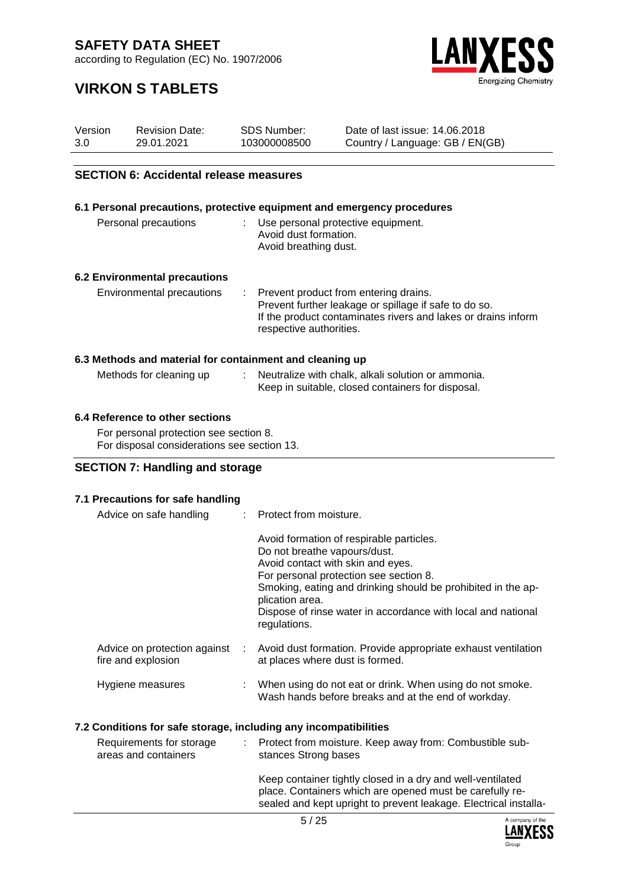according to Regulation (EC) No. 1907/2006



### **VIRKON S TABLETS**

| <b>SECTION 6: Accidental release measures</b> |                       |              |                                 |  |  |  |  |  |  |
|-----------------------------------------------|-----------------------|--------------|---------------------------------|--|--|--|--|--|--|
|                                               |                       |              |                                 |  |  |  |  |  |  |
| 3.0                                           | 29.01.2021            | 103000008500 | Country / Language: GB / EN(GB) |  |  |  |  |  |  |
| Version                                       | <b>Revision Date:</b> | SDS Number:  | Date of last issue: 14.06.2018  |  |  |  |  |  |  |

|                                                          | 6.1 Personal precautions, protective equipment and emergency procedures                                                                                                                      |
|----------------------------------------------------------|----------------------------------------------------------------------------------------------------------------------------------------------------------------------------------------------|
| Personal precautions                                     | : Use personal protective equipment.<br>Avoid dust formation.<br>Avoid breathing dust.                                                                                                       |
| <b>6.2 Environmental precautions</b>                     |                                                                                                                                                                                              |
| Environmental precautions                                | : Prevent product from entering drains.<br>Prevent further leakage or spillage if safe to do so.<br>If the product contaminates rivers and lakes or drains inform<br>respective authorities. |
| 6.3 Methods and material for containment and cleaning up |                                                                                                                                                                                              |
| Methods for cleaning up                                  | : Neutralize with chalk, alkali solution or ammonia.<br>Keep in suitable, closed containers for disposal.                                                                                    |
| 6.4 Poforonce to other coetions                          |                                                                                                                                                                                              |

#### **6.4 Reference to other sections**

For personal protection see section 8. For disposal considerations see section 13.

#### **SECTION 7: Handling and storage**

#### **7.1 Precautions for safe handling**

| Avoid formation of respirable particles.<br>Do not breathe vapours/dust.<br>Avoid contact with skin and eyes.<br>For personal protection see section 8.<br>Smoking, eating and drinking should be prohibited in the ap-<br>plication area.<br>Dispose of rinse water in accordance with local and national<br>regulations.<br>Advice on protection against<br>Avoid dust formation. Provide appropriate exhaust ventilation<br>fire and explosion<br>at places where dust is formed.<br>Hygiene measures<br>: When using do not eat or drink. When using do not smoke.<br>Wash hands before breaks and at the end of workday.<br>7.2 Conditions for safe storage, including any incompatibilities<br>Requirements for storage<br>: Protect from moisture. Keep away from: Combustible sub-<br>areas and containers<br>stances Strong bases | Advice on safe handling | : Protect from moisture. |
|--------------------------------------------------------------------------------------------------------------------------------------------------------------------------------------------------------------------------------------------------------------------------------------------------------------------------------------------------------------------------------------------------------------------------------------------------------------------------------------------------------------------------------------------------------------------------------------------------------------------------------------------------------------------------------------------------------------------------------------------------------------------------------------------------------------------------------------------|-------------------------|--------------------------|
|                                                                                                                                                                                                                                                                                                                                                                                                                                                                                                                                                                                                                                                                                                                                                                                                                                            |                         |                          |
|                                                                                                                                                                                                                                                                                                                                                                                                                                                                                                                                                                                                                                                                                                                                                                                                                                            |                         |                          |
|                                                                                                                                                                                                                                                                                                                                                                                                                                                                                                                                                                                                                                                                                                                                                                                                                                            |                         |                          |
|                                                                                                                                                                                                                                                                                                                                                                                                                                                                                                                                                                                                                                                                                                                                                                                                                                            |                         |                          |

Keep container tightly closed in a dry and well-ventilated place. Containers which are opened must be carefully resealed and kept upright to prevent leakage. Electrical installa-

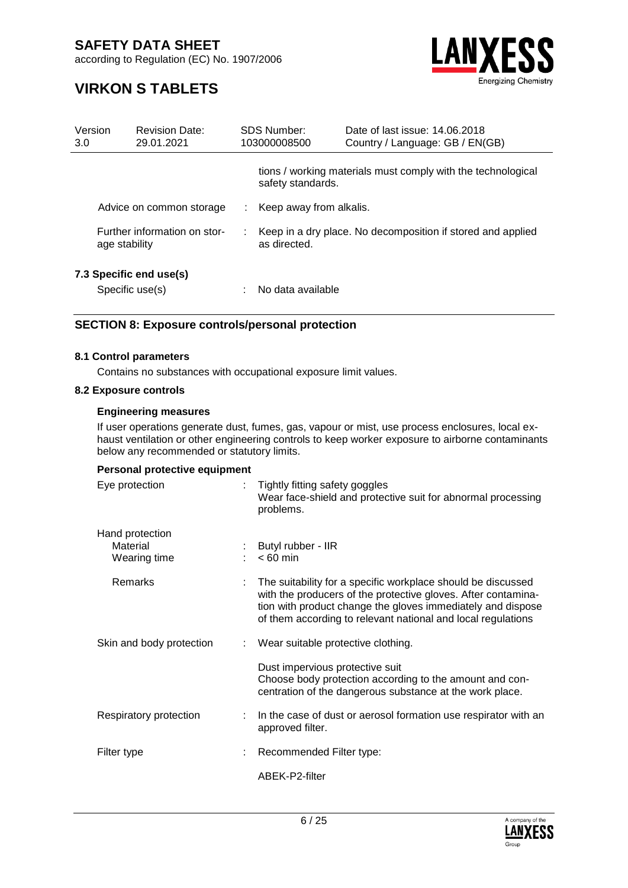according to Regulation (EC) No. 1907/2006



### **VIRKON S TABLETS**

| Version<br>3.0                                |  | <b>Revision Date:</b><br>29.01.2021        |                                                                             | SDS Number:<br>103000008500 | Date of last issue, 14,06,2018<br>Country / Language: GB / EN(GB) |
|-----------------------------------------------|--|--------------------------------------------|-----------------------------------------------------------------------------|-----------------------------|-------------------------------------------------------------------|
|                                               |  |                                            |                                                                             | safety standards.           | tions / working materials must comply with the technological      |
|                                               |  | Advice on common storage                   | ÷                                                                           | Keep away from alkalis.     |                                                                   |
| Further information on stor-<br>age stability |  |                                            | Keep in a dry place. No decomposition if stored and applied<br>as directed. |                             |                                                                   |
|                                               |  | 7.3 Specific end use(s)<br>Specific use(s) |                                                                             | No data available           |                                                                   |

#### **SECTION 8: Exposure controls/personal protection**

#### **8.1 Control parameters**

Contains no substances with occupational exposure limit values.

#### **8.2 Exposure controls**

#### **Engineering measures**

If user operations generate dust, fumes, gas, vapour or mist, use process enclosures, local exhaust ventilation or other engineering controls to keep worker exposure to airborne contaminants below any recommended or statutory limits.

#### **Personal protective equipment**

| Eye protection                              | Tightly fitting safety goggles<br>Wear face-shield and protective suit for abnormal processing<br>problems.                                                                                                                                                  |
|---------------------------------------------|--------------------------------------------------------------------------------------------------------------------------------------------------------------------------------------------------------------------------------------------------------------|
| Hand protection<br>Material<br>Wearing time | Butyl rubber - IIR<br>$< 60$ min                                                                                                                                                                                                                             |
| Remarks                                     | The suitability for a specific workplace should be discussed<br>with the producers of the protective gloves. After contamina-<br>tion with product change the gloves immediately and dispose<br>of them according to relevant national and local regulations |
| Skin and body protection                    | Wear suitable protective clothing.                                                                                                                                                                                                                           |
|                                             | Dust impervious protective suit<br>Choose body protection according to the amount and con-<br>centration of the dangerous substance at the work place.                                                                                                       |
| Respiratory protection                      | In the case of dust or aerosol formation use respirator with an<br>approved filter.                                                                                                                                                                          |
| Filter type                                 | Recommended Filter type:                                                                                                                                                                                                                                     |
|                                             | ABEK-P2-filter                                                                                                                                                                                                                                               |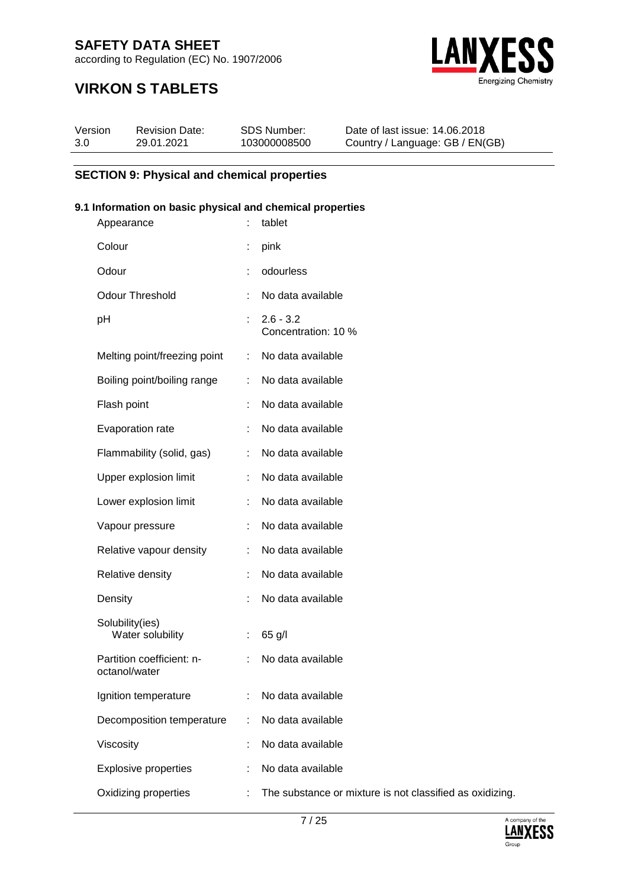according to Regulation (EC) No. 1907/2006



### **VIRKON S TABLETS**

| Version | <b>Revision Date:</b> | SDS Number:  | Date of last issue: 14,06,2018  |
|---------|-----------------------|--------------|---------------------------------|
| 3.0     | 29.01.2021            | 103000008500 | Country / Language: GB / EN(GB) |

#### **SECTION 9: Physical and chemical properties**

#### **9.1 Information on basic physical and chemical properties**

| Appearance                                 |    | tablet                                        |
|--------------------------------------------|----|-----------------------------------------------|
| Colour                                     |    | pink                                          |
| Odour                                      | ÷  | odourless                                     |
| <b>Odour Threshold</b>                     | ÷  | No data available                             |
| pH                                         | ÷. | $2.6 - 3.2$<br>Concentration: 10 %            |
| Melting point/freezing point               | ÷. | No data available                             |
| Boiling point/boiling range                | t. | No data available                             |
| Flash point                                |    | No data available                             |
| Evaporation rate                           | ÷  | No data available                             |
| Flammability (solid, gas)                  | ÷  | No data available                             |
| Upper explosion limit                      | ÷  | No data available                             |
| Lower explosion limit                      |    | No data available                             |
| Vapour pressure                            |    | No data available                             |
| Relative vapour density                    | ÷  | No data available                             |
| Relative density                           |    | No data available                             |
| Density                                    | t  | No data available                             |
| Solubility(ies)<br>Water solubility        | t  | 65 g/l                                        |
| Partition coefficient: n-<br>octanol/water | ÷  | No data available                             |
| Ignition temperature                       |    | No data available                             |
| Decomposition temperature                  |    | No data available                             |
| Viscosity                                  |    | No data available                             |
| <b>Explosive properties</b>                |    | No data available                             |
| Oxidizing properties                       |    | The substance or mixture is not classified as |

oxidizing.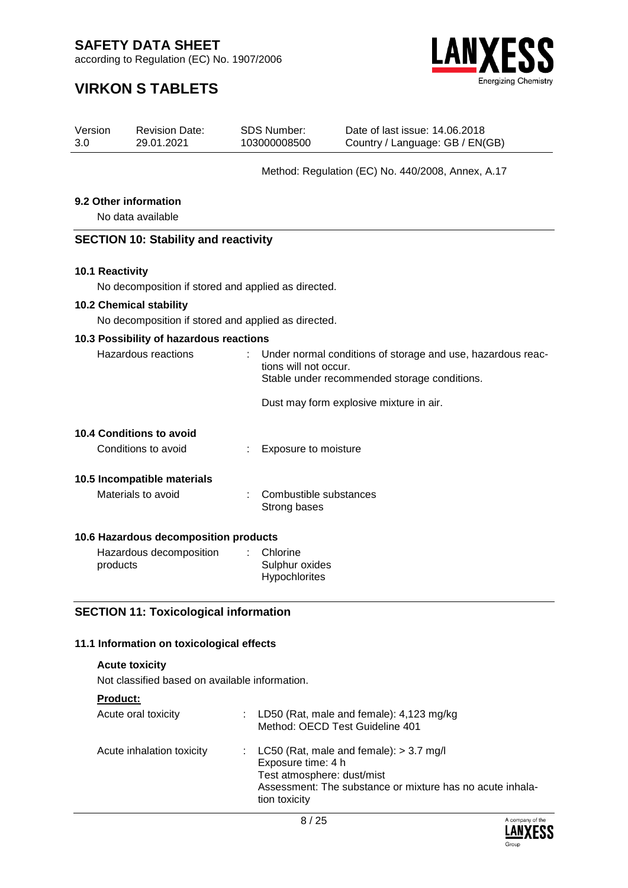according to Regulation (EC) No. 1907/2006



### **VIRKON S TABLETS**

| Version | <b>Revision Date:</b> | SDS Number:  | Date of last issue: 14.06.2018  |
|---------|-----------------------|--------------|---------------------------------|
| 3.0     | 29.01.2021            | 103000008500 | Country / Language: GB / EN(GB) |
|         |                       |              |                                 |

#### Method: Regulation (EC) No. 440/2008, Annex, A.17

#### **9.2 Other information**

No data available

#### **SECTION 10: Stability and reactivity**

#### **10.1 Reactivity**

No decomposition if stored and applied as directed.

#### **10.2 Chemical stability**

No decomposition if stored and applied as directed.

#### **10.3 Possibility of hazardous reactions**

| Stable under recommended storage conditions. |                                                                                                                                                                                           |
|----------------------------------------------|-------------------------------------------------------------------------------------------------------------------------------------------------------------------------------------------|
|                                              |                                                                                                                                                                                           |
|                                              |                                                                                                                                                                                           |
|                                              |                                                                                                                                                                                           |
|                                              |                                                                                                                                                                                           |
|                                              |                                                                                                                                                                                           |
|                                              |                                                                                                                                                                                           |
|                                              |                                                                                                                                                                                           |
|                                              |                                                                                                                                                                                           |
| Strong bases                                 |                                                                                                                                                                                           |
|                                              | Under normal conditions of storage and use, hazardous reac-<br>÷.<br>tions will not occur.<br>Dust may form explosive mixture in air.<br>Exposure to moisture<br>: Combustible substances |

#### **10.6 Hazardous decomposition products**

| Hazardous decomposition | $\therefore$ Chlorine |
|-------------------------|-----------------------|
| products                | Sulphur oxides        |
|                         | <b>Hypochlorites</b>  |

#### **SECTION 11: Toxicological information**

#### **11.1 Information on toxicological effects**

#### **Acute toxicity**

Not classified based on available information.

#### **Product:**

| Acute oral toxicity       | : LD50 (Rat, male and female): $4,123$ mg/kg<br>Method: OECD Test Guideline 401                                                                                               |
|---------------------------|-------------------------------------------------------------------------------------------------------------------------------------------------------------------------------|
| Acute inhalation toxicity | : LC50 (Rat, male and female): $> 3.7$ mg/l<br>Exposure time: 4 h<br>Test atmosphere: dust/mist<br>Assessment: The substance or mixture has no acute inhala-<br>tion toxicity |

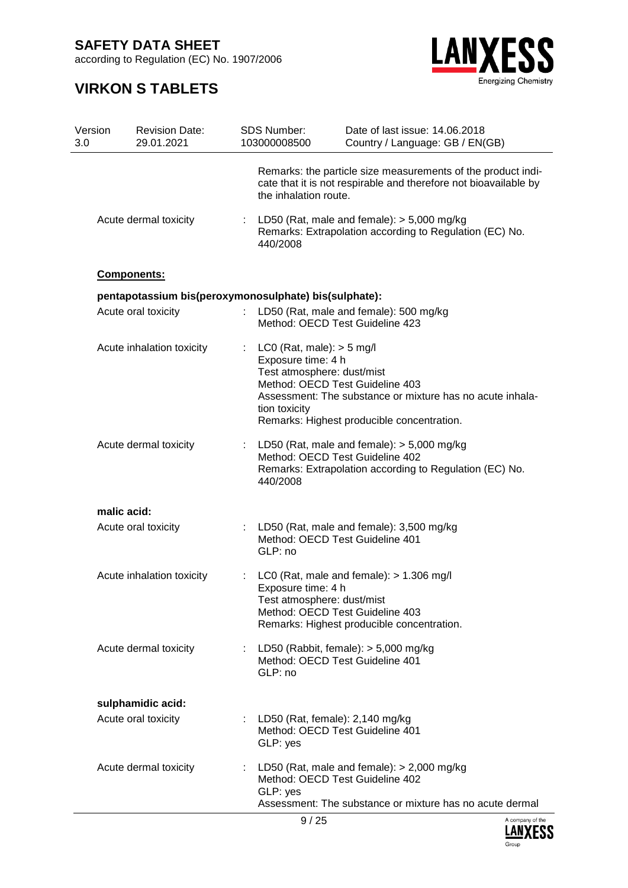according to Regulation (EC) No. 1907/2006



| Version<br>3.0 | <b>Revision Date:</b><br>29.01.2021                   | <b>SDS Number:</b><br>103000008500                                                                 | Date of last issue: 14.06.2018<br>Country / Language: GB / EN(GB)                                                                           |
|----------------|-------------------------------------------------------|----------------------------------------------------------------------------------------------------|---------------------------------------------------------------------------------------------------------------------------------------------|
|                |                                                       | the inhalation route.                                                                              | Remarks: the particle size measurements of the product indi-<br>cate that it is not respirable and therefore not bioavailable by            |
|                | Acute dermal toxicity                                 | 440/2008                                                                                           | LD50 (Rat, male and female): $>$ 5,000 mg/kg<br>Remarks: Extrapolation according to Regulation (EC) No.                                     |
|                | Components:                                           |                                                                                                    |                                                                                                                                             |
|                | pentapotassium bis(peroxymonosulphate) bis(sulphate): |                                                                                                    |                                                                                                                                             |
|                | Acute oral toxicity                                   | Method: OECD Test Guideline 423                                                                    | : LD50 (Rat, male and female): 500 mg/kg                                                                                                    |
|                | Acute inhalation toxicity                             | : LC0 (Rat, male): $>$ 5 mg/l<br>Exposure time: 4 h<br>Test atmosphere: dust/mist<br>tion toxicity | Method: OECD Test Guideline 403<br>Assessment: The substance or mixture has no acute inhala-<br>Remarks: Highest producible concentration.  |
|                | Acute dermal toxicity                                 | 440/2008                                                                                           | LD50 (Rat, male and female): $>$ 5,000 mg/kg<br>Method: OECD Test Guideline 402<br>Remarks: Extrapolation according to Regulation (EC) No.  |
|                | malic acid:                                           |                                                                                                    |                                                                                                                                             |
|                | Acute oral toxicity                                   | Method: OECD Test Guideline 401<br>GLP: no                                                         | : LD50 (Rat, male and female): 3,500 mg/kg                                                                                                  |
|                | Acute inhalation toxicity                             | Exposure time: 4 h<br>Test atmosphere: dust/mist                                                   | : LC0 (Rat, male and female): $> 1.306$ mg/l<br>Method: OECD Test Guideline 403<br>Remarks: Highest producible concentration.               |
|                | Acute dermal toxicity                                 | Method: OECD Test Guideline 401<br>GLP: no                                                         | : LD50 (Rabbit, female): $> 5,000$ mg/kg                                                                                                    |
|                | sulphamidic acid:                                     |                                                                                                    |                                                                                                                                             |
|                | Acute oral toxicity                                   | : LD50 (Rat, female): $2,140$ mg/kg<br>Method: OECD Test Guideline 401<br>GLP: yes                 |                                                                                                                                             |
|                | Acute dermal toxicity                                 | GLP: yes                                                                                           | LD50 (Rat, male and female): $>$ 2,000 mg/kg<br>Method: OECD Test Guideline 402<br>Assessment: The substance or mixture has no acute dermal |

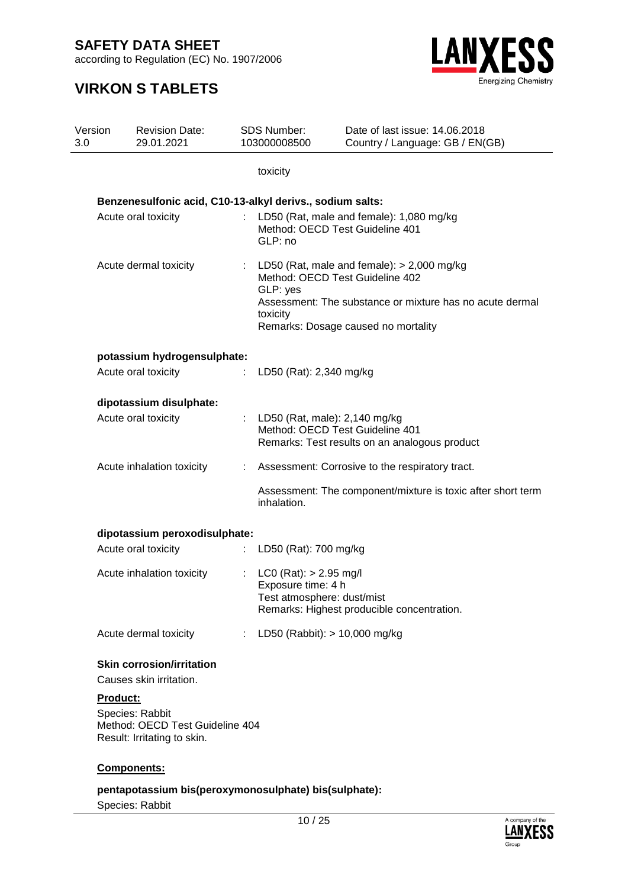according to Regulation (EC) No. 1907/2006

### **VIRKON S TABLETS**



| Version<br>3.0 |          | <b>Revision Date:</b><br>29.01.2021                                               |    | <b>SDS Number:</b><br>103000008500                                             | Date of last issue: 14.06.2018<br>Country / Language: GB / EN(GB)                                                                                                                    |
|----------------|----------|-----------------------------------------------------------------------------------|----|--------------------------------------------------------------------------------|--------------------------------------------------------------------------------------------------------------------------------------------------------------------------------------|
|                |          |                                                                                   |    | toxicity                                                                       |                                                                                                                                                                                      |
|                |          | Benzenesulfonic acid, C10-13-alkyl derivs., sodium salts:                         |    |                                                                                |                                                                                                                                                                                      |
|                |          | Acute oral toxicity                                                               |    | Method: OECD Test Guideline 401<br>GLP: no                                     | LD50 (Rat, male and female): 1,080 mg/kg                                                                                                                                             |
|                |          | Acute dermal toxicity                                                             |    | GLP: yes<br>toxicity                                                           | : LD50 (Rat, male and female): $> 2,000$ mg/kg<br>Method: OECD Test Guideline 402<br>Assessment: The substance or mixture has no acute dermal<br>Remarks: Dosage caused no mortality |
|                |          | potassium hydrogensulphate:                                                       |    |                                                                                |                                                                                                                                                                                      |
|                |          | Acute oral toxicity                                                               | ÷  | LD50 (Rat): 2,340 mg/kg                                                        |                                                                                                                                                                                      |
|                |          | dipotassium disulphate:                                                           |    |                                                                                |                                                                                                                                                                                      |
|                |          | Acute oral toxicity                                                               |    | : LD50 (Rat, male): $2,140$ mg/kg<br>Method: OECD Test Guideline 401           | Remarks: Test results on an analogous product                                                                                                                                        |
|                |          | Acute inhalation toxicity                                                         |    |                                                                                | Assessment: Corrosive to the respiratory tract.                                                                                                                                      |
|                |          |                                                                                   |    | inhalation.                                                                    | Assessment: The component/mixture is toxic after short term                                                                                                                          |
|                |          | dipotassium peroxodisulphate:                                                     |    |                                                                                |                                                                                                                                                                                      |
|                |          | Acute oral toxicity                                                               | ÷. | LD50 (Rat): 700 mg/kg                                                          |                                                                                                                                                                                      |
|                |          | Acute inhalation toxicity                                                         |    | : LC0 (Rat): $> 2.95$ mg/l<br>Exposure time: 4 h<br>Test atmosphere: dust/mist | Remarks: Highest producible concentration.                                                                                                                                           |
|                |          | Acute dermal toxicity                                                             | t. | LD50 (Rabbit): > 10,000 mg/kg                                                  |                                                                                                                                                                                      |
|                |          | <b>Skin corrosion/irritation</b><br>Causes skin irritation.                       |    |                                                                                |                                                                                                                                                                                      |
|                | Product: | Species: Rabbit<br>Method: OECD Test Guideline 404<br>Result: Irritating to skin. |    |                                                                                |                                                                                                                                                                                      |
|                |          | Components:                                                                       |    |                                                                                |                                                                                                                                                                                      |

#### **pentapotassium bis(peroxymonosulphate) bis(sulphate):**

Species: Rabbit

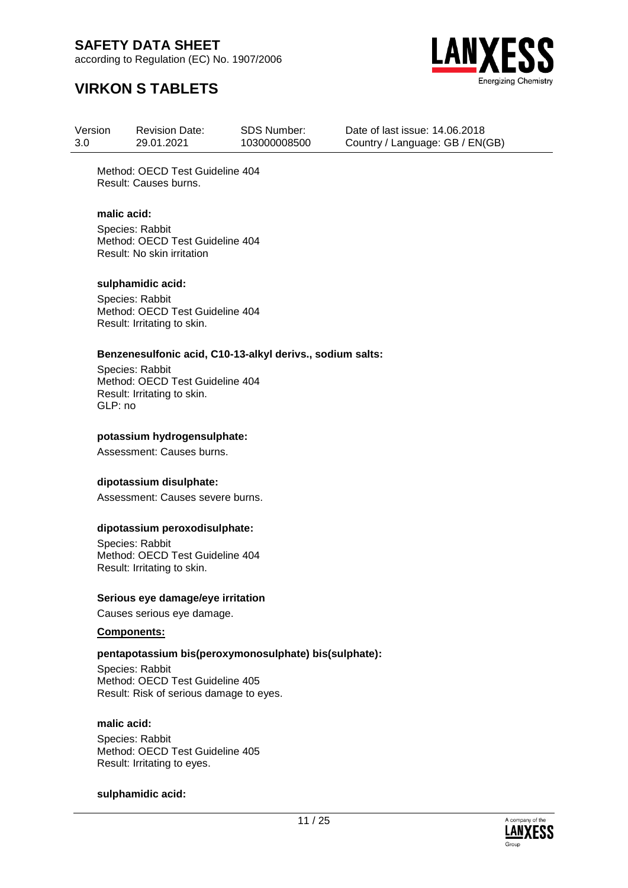according to Regulation (EC) No. 1907/2006



### **VIRKON S TABLETS**

Version 3.0 Revision Date: 29.01.2021 SDS Number: 103000008500 Date of last issue: 14.06.2018 Country / Language: GB / EN(GB)

Method: OECD Test Guideline 404 Result: Causes burns.

#### **malic acid:**

Species: Rabbit Method: OECD Test Guideline 404 Result: No skin irritation

#### **sulphamidic acid:**

Species: Rabbit Method: OECD Test Guideline 404 Result: Irritating to skin.

#### **Benzenesulfonic acid, C10-13-alkyl derivs., sodium salts:**

Species: Rabbit Method: OECD Test Guideline 404 Result: Irritating to skin. GLP: no

#### **potassium hydrogensulphate:**

Assessment: Causes burns.

#### **dipotassium disulphate:**

Assessment: Causes severe burns.

#### **dipotassium peroxodisulphate:**

Species: Rabbit Method: OECD Test Guideline 404 Result: Irritating to skin.

#### **Serious eye damage/eye irritation**

Causes serious eye damage.

#### **Components:**

#### **pentapotassium bis(peroxymonosulphate) bis(sulphate):**

Species: Rabbit Method: OECD Test Guideline 405 Result: Risk of serious damage to eyes.

#### **malic acid:**

Species: Rabbit Method: OECD Test Guideline 405 Result: Irritating to eyes.

#### **sulphamidic acid:**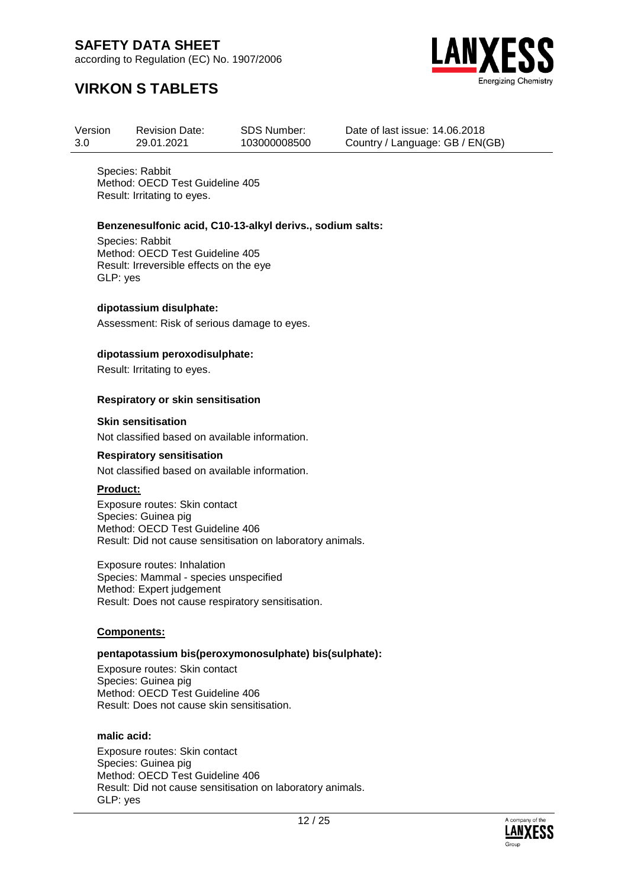according to Regulation (EC) No. 1907/2006



### **VIRKON S TABLETS**

| Version | <b>Revision Date:</b> | SDS Number:  |
|---------|-----------------------|--------------|
| 3.0     | 29.01.2021            | 103000008500 |

Date of last issue: 14.06.2018 Country / Language: GB / EN(GB)

Species: Rabbit Method: OECD Test Guideline 405 Result: Irritating to eyes.

#### **Benzenesulfonic acid, C10-13-alkyl derivs., sodium salts:**

Species: Rabbit Method: OECD Test Guideline 405 Result: Irreversible effects on the eye GLP: yes

#### **dipotassium disulphate:**

Assessment: Risk of serious damage to eyes.

#### **dipotassium peroxodisulphate:**

Result: Irritating to eyes.

#### **Respiratory or skin sensitisation**

#### **Skin sensitisation**

Not classified based on available information.

#### **Respiratory sensitisation**

Not classified based on available information.

#### **Product:**

Exposure routes: Skin contact Species: Guinea pig Method: OECD Test Guideline 406 Result: Did not cause sensitisation on laboratory animals.

Exposure routes: Inhalation Species: Mammal - species unspecified Method: Expert judgement Result: Does not cause respiratory sensitisation.

#### **Components:**

#### **pentapotassium bis(peroxymonosulphate) bis(sulphate):**

Exposure routes: Skin contact Species: Guinea pig Method: OECD Test Guideline 406 Result: Does not cause skin sensitisation.

#### **malic acid:**

Exposure routes: Skin contact Species: Guinea pig Method: OECD Test Guideline 406 Result: Did not cause sensitisation on laboratory animals. GLP: yes

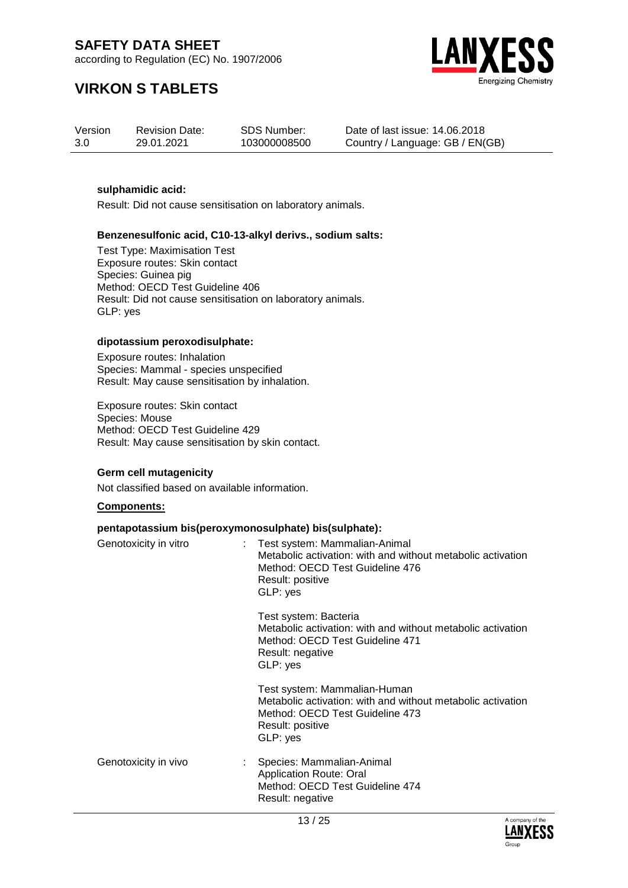according to Regulation (EC) No. 1907/2006



### **VIRKON S TABLETS**

| Version | <b>Revision Date:</b> | <b>SDS Number:</b> | Date of |
|---------|-----------------------|--------------------|---------|
| 3.0     | 29.01.2021            | 103000008500       | Country |

last issue: 14.06.2018 / Language: GB / EN(GB)

#### **sulphamidic acid:**

Result: Did not cause sensitisation on laboratory animals.

#### **Benzenesulfonic acid, C10-13-alkyl derivs., sodium salts:**

Test Type: Maximisation Test Exposure routes: Skin contact Species: Guinea pig Method: OECD Test Guideline 406 Result: Did not cause sensitisation on laboratory animals. GLP: yes

#### **dipotassium peroxodisulphate:**

Exposure routes: Inhalation Species: Mammal - species unspecified Result: May cause sensitisation by inhalation.

Exposure routes: Skin contact Species: Mouse Method: OECD Test Guideline 429 Result: May cause sensitisation by skin contact.

#### **Germ cell mutagenicity**

Not classified based on available information.

#### **Components:**

#### **pentapotassium bis(peroxymonosulphate) bis(sulphate):**

| Genotoxicity in vitro | Test system: Mammalian-Animal<br>Metabolic activation: with and without metabolic activation<br>Method: OECD Test Guideline 476<br>Result: positive<br>GLP: yes |
|-----------------------|-----------------------------------------------------------------------------------------------------------------------------------------------------------------|
|                       | Test system: Bacteria<br>Metabolic activation: with and without metabolic activation<br>Method: OECD Test Guideline 471<br>Result: negative<br>GLP: yes         |
|                       | Test system: Mammalian-Human<br>Metabolic activation: with and without metabolic activation<br>Method: OECD Test Guideline 473<br>Result: positive<br>GLP: yes  |
| Genotoxicity in vivo  | Species: Mammalian-Animal<br><b>Application Route: Oral</b><br>Method: OECD Test Guideline 474<br>Result: negative                                              |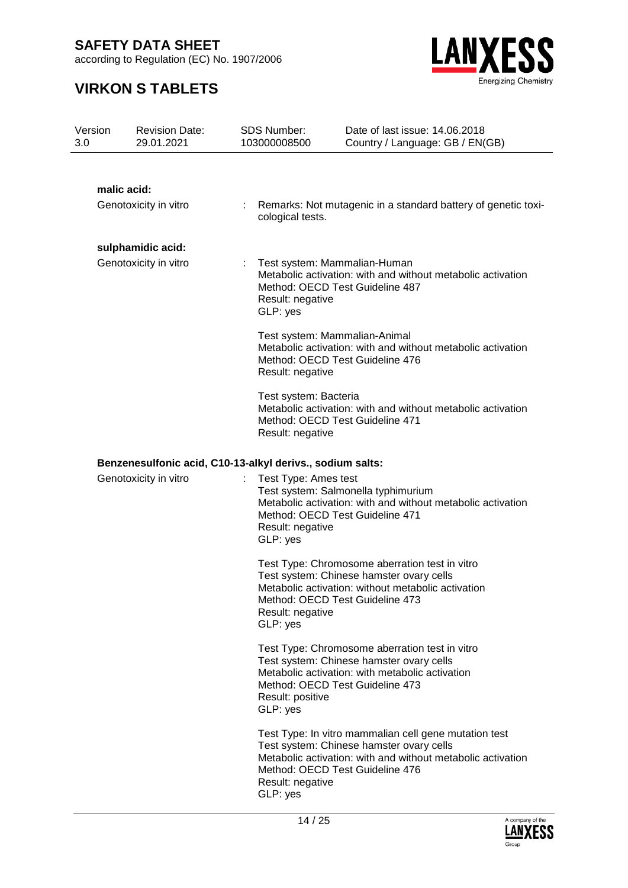according to Regulation (EC) No. 1907/2006



| Version<br>3.0        | <b>Revision Date:</b><br>29.01.2021 | <b>SDS Number:</b><br>103000008500                                                                                                          | Date of last issue: 14.06.2018<br>Country / Language: GB / EN(GB)                                                                                                                                   |  |  |
|-----------------------|-------------------------------------|---------------------------------------------------------------------------------------------------------------------------------------------|-----------------------------------------------------------------------------------------------------------------------------------------------------------------------------------------------------|--|--|
|                       |                                     |                                                                                                                                             |                                                                                                                                                                                                     |  |  |
|                       | malic acid:                         |                                                                                                                                             |                                                                                                                                                                                                     |  |  |
|                       | Genotoxicity in vitro               | cological tests.                                                                                                                            | Remarks: Not mutagenic in a standard battery of genetic toxi-                                                                                                                                       |  |  |
|                       | sulphamidic acid:                   |                                                                                                                                             |                                                                                                                                                                                                     |  |  |
| Genotoxicity in vitro |                                     | Result: negative<br>GLP: yes                                                                                                                | Test system: Mammalian-Human<br>Metabolic activation: with and without metabolic activation<br>Method: OECD Test Guideline 487                                                                      |  |  |
|                       |                                     | Result: negative                                                                                                                            | Test system: Mammalian-Animal<br>Metabolic activation: with and without metabolic activation<br>Method: OECD Test Guideline 476                                                                     |  |  |
|                       |                                     | Test system: Bacteria<br>Metabolic activation: with and without metabolic activation<br>Method: OECD Test Guideline 471<br>Result: negative |                                                                                                                                                                                                     |  |  |
|                       |                                     | Benzenesulfonic acid, C10-13-alkyl derivs., sodium salts:                                                                                   |                                                                                                                                                                                                     |  |  |
|                       | Genotoxicity in vitro               | Test Type: Ames test<br>Result: negative<br>GLP: yes                                                                                        | Test system: Salmonella typhimurium<br>Metabolic activation: with and without metabolic activation<br>Method: OECD Test Guideline 471                                                               |  |  |
|                       |                                     | Result: negative<br>GLP: yes                                                                                                                | Test Type: Chromosome aberration test in vitro<br>Test system: Chinese hamster ovary cells<br>Metabolic activation: without metabolic activation<br>Method: OECD Test Guideline 473                 |  |  |
|                       |                                     | Result: positive<br>GLP: yes                                                                                                                | Test Type: Chromosome aberration test in vitro<br>Test system: Chinese hamster ovary cells<br>Metabolic activation: with metabolic activation<br>Method: OECD Test Guideline 473                    |  |  |
|                       |                                     | Result: negative<br>GLP: yes                                                                                                                | Test Type: In vitro mammalian cell gene mutation test<br>Test system: Chinese hamster ovary cells<br>Metabolic activation: with and without metabolic activation<br>Method: OECD Test Guideline 476 |  |  |

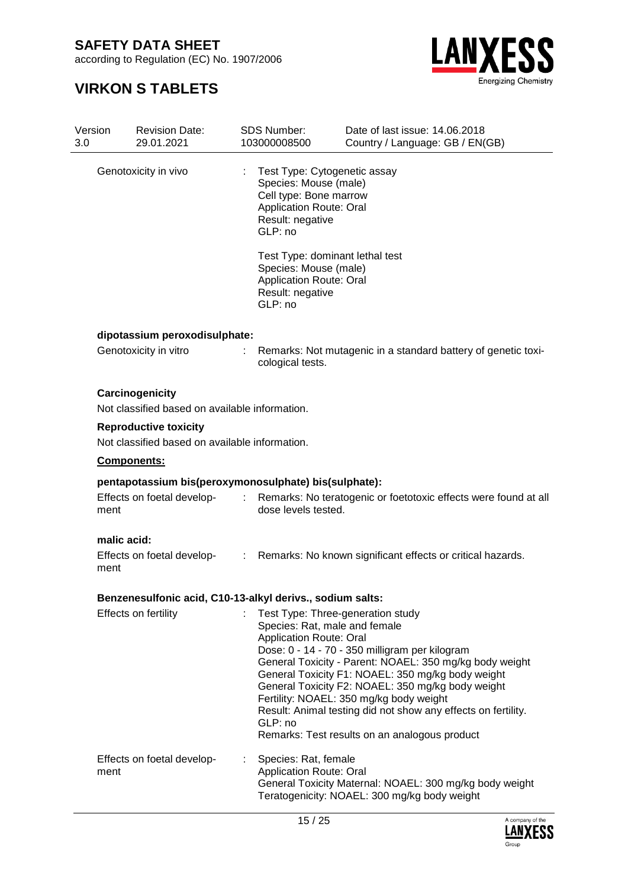according to Regulation (EC) No. 1907/2006



| Version<br>3.0 | <b>Revision Date:</b><br>29.01.2021                                            |                | <b>SDS Number:</b><br>103000008500                                                                                                               | Date of last issue: 14.06.2018<br>Country / Language: GB / EN(GB)                                                                                                                                                                                                                                                                                                                                                                                      |
|----------------|--------------------------------------------------------------------------------|----------------|--------------------------------------------------------------------------------------------------------------------------------------------------|--------------------------------------------------------------------------------------------------------------------------------------------------------------------------------------------------------------------------------------------------------------------------------------------------------------------------------------------------------------------------------------------------------------------------------------------------------|
|                | Genotoxicity in vivo                                                           |                | Test Type: Cytogenetic assay<br>Species: Mouse (male)<br>Cell type: Bone marrow<br><b>Application Route: Oral</b><br>Result: negative<br>GLP: no |                                                                                                                                                                                                                                                                                                                                                                                                                                                        |
|                |                                                                                |                | Species: Mouse (male)<br><b>Application Route: Oral</b><br>Result: negative<br>GLP: no                                                           | Test Type: dominant lethal test                                                                                                                                                                                                                                                                                                                                                                                                                        |
|                | dipotassium peroxodisulphate:                                                  |                |                                                                                                                                                  |                                                                                                                                                                                                                                                                                                                                                                                                                                                        |
|                | Genotoxicity in vitro                                                          | $\mathbb{R}^n$ | cological tests.                                                                                                                                 | Remarks: Not mutagenic in a standard battery of genetic toxi-                                                                                                                                                                                                                                                                                                                                                                                          |
|                | Carcinogenicity                                                                |                |                                                                                                                                                  |                                                                                                                                                                                                                                                                                                                                                                                                                                                        |
|                | Not classified based on available information.                                 |                |                                                                                                                                                  |                                                                                                                                                                                                                                                                                                                                                                                                                                                        |
|                | <b>Reproductive toxicity</b><br>Not classified based on available information. |                |                                                                                                                                                  |                                                                                                                                                                                                                                                                                                                                                                                                                                                        |
|                | <b>Components:</b>                                                             |                |                                                                                                                                                  |                                                                                                                                                                                                                                                                                                                                                                                                                                                        |
|                | pentapotassium bis(peroxymonosulphate) bis(sulphate):                          |                |                                                                                                                                                  |                                                                                                                                                                                                                                                                                                                                                                                                                                                        |
| ment           | Effects on foetal develop-                                                     |                | dose levels tested.                                                                                                                              | Remarks: No teratogenic or foetotoxic effects were found at all                                                                                                                                                                                                                                                                                                                                                                                        |
|                | malic acid:                                                                    |                |                                                                                                                                                  |                                                                                                                                                                                                                                                                                                                                                                                                                                                        |
| ment           |                                                                                |                |                                                                                                                                                  | Effects on foetal develop- : Remarks: No known significant effects or critical hazards.                                                                                                                                                                                                                                                                                                                                                                |
|                | Benzenesulfonic acid, C10-13-alkyl derivs., sodium salts:                      |                |                                                                                                                                                  |                                                                                                                                                                                                                                                                                                                                                                                                                                                        |
|                | Effects on fertility                                                           |                | <b>Application Route: Oral</b><br>GLP: no                                                                                                        | Test Type: Three-generation study<br>Species: Rat, male and female<br>Dose: 0 - 14 - 70 - 350 milligram per kilogram<br>General Toxicity - Parent: NOAEL: 350 mg/kg body weight<br>General Toxicity F1: NOAEL: 350 mg/kg body weight<br>General Toxicity F2: NOAEL: 350 mg/kg body weight<br>Fertility: NOAEL: 350 mg/kg body weight<br>Result: Animal testing did not show any effects on fertility.<br>Remarks: Test results on an analogous product |
| ment           | Effects on foetal develop-                                                     |                | Species: Rat, female<br><b>Application Route: Oral</b>                                                                                           | General Toxicity Maternal: NOAEL: 300 mg/kg body weight<br>Teratogenicity: NOAEL: 300 mg/kg body weight                                                                                                                                                                                                                                                                                                                                                |

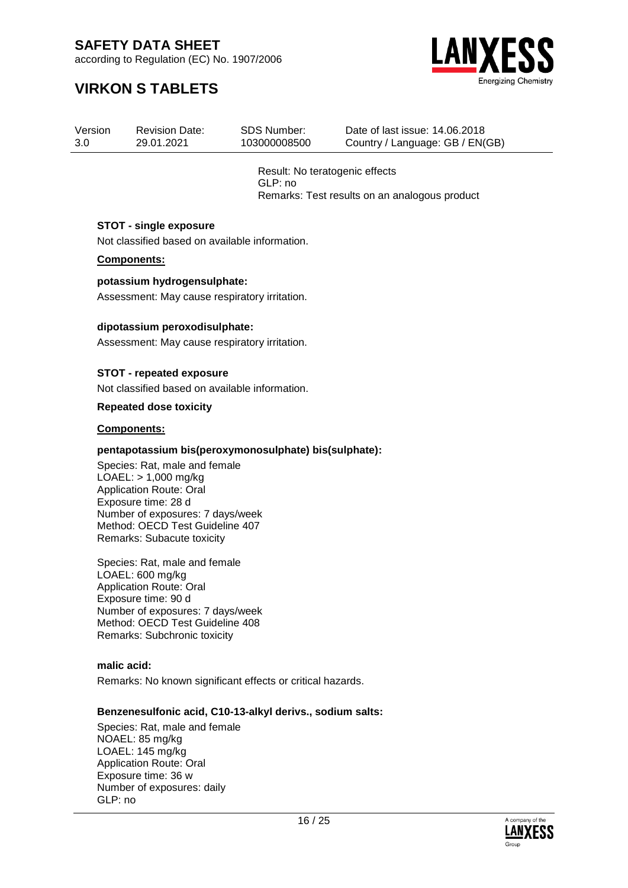according to Regulation (EC) No. 1907/2006

### **VIRKON S TABLETS**



Version 3.0 Revision Date: 29.01.2021 SDS Number: 103000008500 Date of last issue: 14.06.2018 Country / Language: GB / EN(GB)

> Result: No teratogenic effects GLP: no Remarks: Test results on an analogous product

#### **STOT - single exposure**

Not classified based on available information.

#### **Components:**

#### **potassium hydrogensulphate:**

Assessment: May cause respiratory irritation.

#### **dipotassium peroxodisulphate:**

Assessment: May cause respiratory irritation.

#### **STOT - repeated exposure**

Not classified based on available information.

#### **Repeated dose toxicity**

#### **Components:**

#### **pentapotassium bis(peroxymonosulphate) bis(sulphate):**

Species: Rat, male and female LOAEL: > 1,000 mg/kg Application Route: Oral Exposure time: 28 d Number of exposures: 7 days/week Method: OECD Test Guideline 407 Remarks: Subacute toxicity

Species: Rat, male and female LOAEL: 600 mg/kg Application Route: Oral Exposure time: 90 d Number of exposures: 7 days/week Method: OECD Test Guideline 408 Remarks: Subchronic toxicity

**malic acid:**

Remarks: No known significant effects or critical hazards.

#### **Benzenesulfonic acid, C10-13-alkyl derivs., sodium salts:**

Species: Rat, male and female NOAEL: 85 mg/kg LOAEL: 145 mg/kg Application Route: Oral Exposure time: 36 w Number of exposures: daily GLP: no

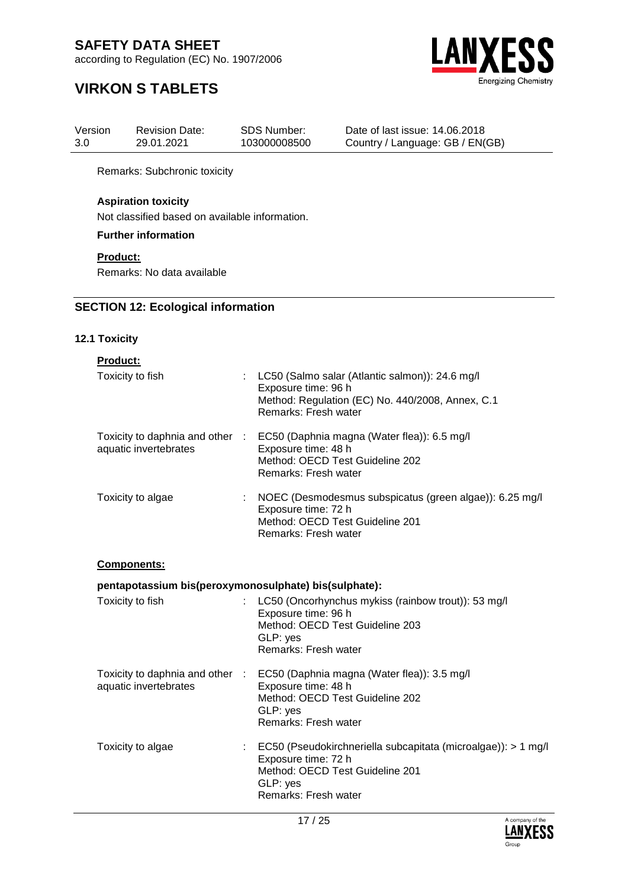according to Regulation (EC) No. 1907/2006



### **VIRKON S TABLETS**

| Version | <b>Revision Date:</b> | <b>SDS Number:</b> |  |
|---------|-----------------------|--------------------|--|
| 3.0     | 29.01.2021            | 103000008500       |  |

Date of last issue: 14.06.2018 Country / Language: GB / EN(GB)

Remarks: Subchronic toxicity

#### **Aspiration toxicity**

Not classified based on available information.

**Further information**

#### **Product:**

Remarks: No data available

#### **SECTION 12: Ecological information**

#### **12.1 Toxicity**

| <b>Product:</b>                                          |                                                                                                                                                                           |
|----------------------------------------------------------|---------------------------------------------------------------------------------------------------------------------------------------------------------------------------|
| Toxicity to fish<br>t.                                   | LC50 (Salmo salar (Atlantic salmon)): 24.6 mg/l<br>Exposure time: 96 h<br>Method: Regulation (EC) No. 440/2008, Annex, C.1<br>Remarks: Fresh water                        |
| Toxicity to daphnia and other :<br>aquatic invertebrates | EC50 (Daphnia magna (Water flea)): 6.5 mg/l<br>Exposure time: 48 h<br>Method: OECD Test Guideline 202<br>Remarks: Fresh water                                             |
| Toxicity to algae                                        | NOEC (Desmodesmus subspicatus (green algae)): 6.25 mg/l<br>Exposure time: 72 h<br>Method: OECD Test Guideline 201<br>Remarks: Fresh water                                 |
| Components:                                              |                                                                                                                                                                           |
| pentapotassium bis(peroxymonosulphate) bis(sulphate):    |                                                                                                                                                                           |
| Toxicity to fish                                         | LC50 (Oncorhynchus mykiss (rainbow trout)): 53 mg/l<br>Exposure time: 96 h<br>Method: OECD Test Guideline 203<br>GLP: yes<br>Remarks: Fresh water                         |
| aquatic invertebrates                                    | Toxicity to daphnia and other : EC50 (Daphnia magna (Water flea)): 3.5 mg/l<br>Exposure time: 48 h<br>Method: OECD Test Guideline 202<br>GLP: yes<br>Remarks: Fresh water |
| Toxicity to algae<br>t.                                  | EC50 (Pseudokirchneriella subcapitata (microalgae)): > 1 mg/l<br>Exposure time: 72 h<br>Method: OECD Test Guideline 201<br>GLP: yes<br>Remarks: Fresh water               |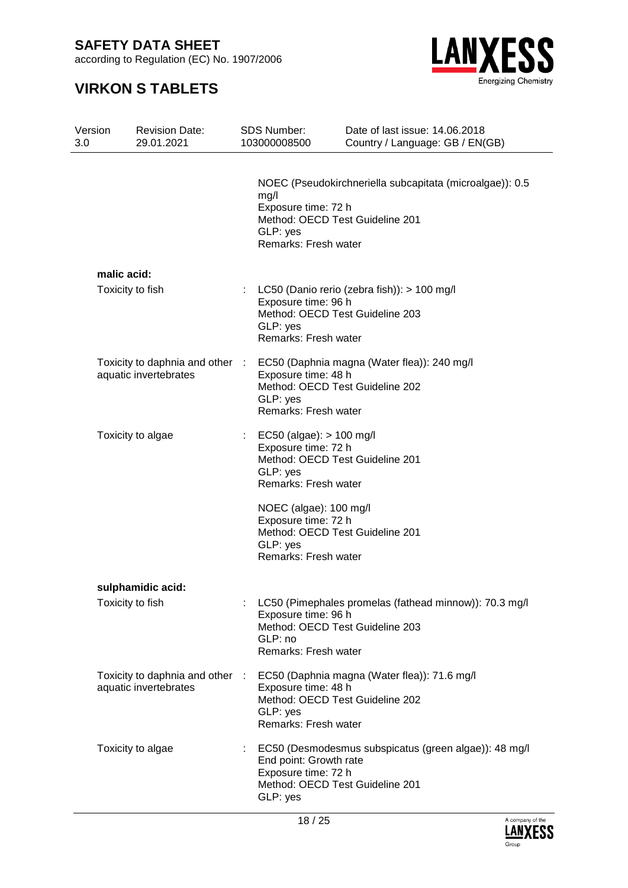according to Regulation (EC) No. 1907/2006



| Version<br>3.0 | <b>Revision Date:</b><br>29.01.2021                      | <b>SDS Number:</b><br>103000008500                                                                                       | Date of last issue: 14,06,2018<br>Country / Language: GB / EN(GB) |
|----------------|----------------------------------------------------------|--------------------------------------------------------------------------------------------------------------------------|-------------------------------------------------------------------|
|                |                                                          | mg/l<br>Exposure time: 72 h<br>Method: OECD Test Guideline 201<br>GLP: yes<br>Remarks: Fresh water                       | NOEC (Pseudokirchneriella subcapitata (microalgae)): 0.5          |
|                | malic acid:                                              |                                                                                                                          |                                                                   |
|                | Toxicity to fish                                         | Exposure time: 96 h<br>Method: OECD Test Guideline 203<br>GLP: yes<br>Remarks: Fresh water                               | LC50 (Danio rerio (zebra fish)): > 100 mg/l                       |
|                | Toxicity to daphnia and other :<br>aquatic invertebrates | Exposure time: 48 h<br>Method: OECD Test Guideline 202<br>GLP: yes<br>Remarks: Fresh water                               | EC50 (Daphnia magna (Water flea)): 240 mg/l                       |
|                | Toxicity to algae                                        | EC50 (algae): $> 100$ mg/l<br>Exposure time: 72 h<br>Method: OECD Test Guideline 201<br>GLP: yes<br>Remarks: Fresh water |                                                                   |
|                |                                                          | NOEC (algae): 100 mg/l<br>Exposure time: 72 h<br>Method: OECD Test Guideline 201<br>GLP: yes<br>Remarks: Fresh water     |                                                                   |
|                | sulphamidic acid:                                        |                                                                                                                          |                                                                   |
|                | Toxicity to fish                                         | Exposure time: 96 h<br>Method: OECD Test Guideline 203<br>GLP: no<br>Remarks: Fresh water                                | LC50 (Pimephales promelas (fathead minnow)): 70.3 mg/l            |
|                | Toxicity to daphnia and other<br>aquatic invertebrates   | Exposure time: 48 h<br>Method: OECD Test Guideline 202<br>GLP: yes<br>Remarks: Fresh water                               | EC50 (Daphnia magna (Water flea)): 71.6 mg/l                      |
|                | Toxicity to algae                                        | End point: Growth rate<br>Exposure time: 72 h<br>Method: OECD Test Guideline 201<br>GLP: yes                             | EC50 (Desmodesmus subspicatus (green algae)): 48 mg/l             |

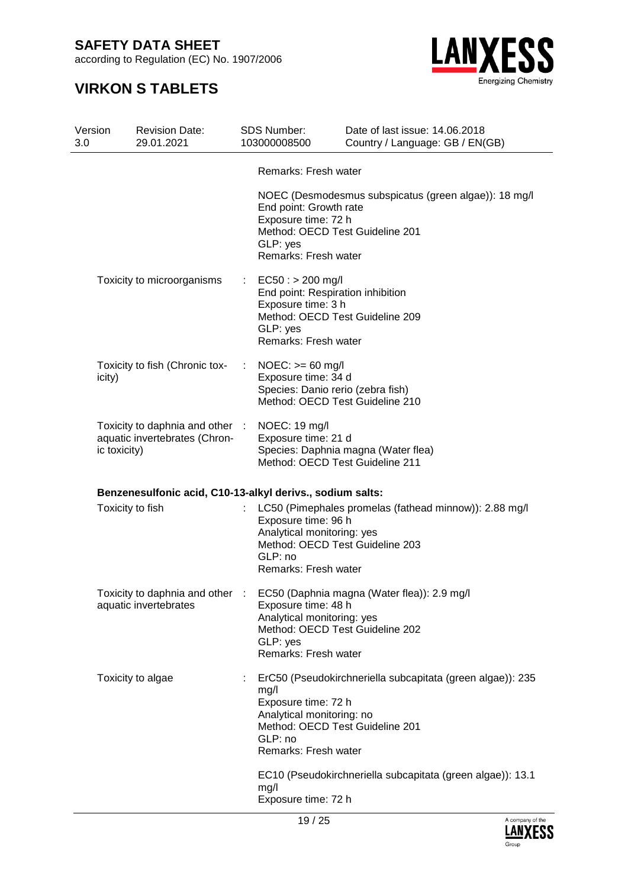according to Regulation (EC) No. 1907/2006



| Version<br>3.0 | <b>Revision Date:</b><br>29.01.2021                              |             | <b>SDS Number:</b><br>103000008500                                                                                                                   | Date of last issue: 14.06.2018<br>Country / Language: GB / EN(GB)           |
|----------------|------------------------------------------------------------------|-------------|------------------------------------------------------------------------------------------------------------------------------------------------------|-----------------------------------------------------------------------------|
|                |                                                                  |             | Remarks: Fresh water                                                                                                                                 |                                                                             |
|                |                                                                  |             | End point: Growth rate<br>Exposure time: 72 h<br>Method: OECD Test Guideline 201<br>GLP: yes<br>Remarks: Fresh water                                 | NOEC (Desmodesmus subspicatus (green algae)): 18 mg/l                       |
|                | Toxicity to microorganisms                                       | ÷.          | $EC50:$ > 200 mg/l<br>End point: Respiration inhibition<br>Exposure time: 3 h<br>Method: OECD Test Guideline 209<br>GLP: yes<br>Remarks: Fresh water |                                                                             |
| icity)         | Toxicity to fish (Chronic tox-                                   | $\sim 10^7$ | $NOEC: >= 60$ mg/l<br>Exposure time: 34 d<br>Species: Danio rerio (zebra fish)<br>Method: OECD Test Guideline 210                                    |                                                                             |
| ic toxicity)   | Toxicity to daphnia and other :<br>aquatic invertebrates (Chron- |             | NOEC: 19 mg/l<br>Exposure time: 21 d<br>Method: OECD Test Guideline 211                                                                              | Species: Daphnia magna (Water flea)                                         |
|                | Benzenesulfonic acid, C10-13-alkyl derivs., sodium salts:        |             |                                                                                                                                                      |                                                                             |
|                | Toxicity to fish                                                 |             | Exposure time: 96 h<br>Analytical monitoring: yes<br>Method: OECD Test Guideline 203<br>GLP: no<br>Remarks: Fresh water                              | LC50 (Pimephales promelas (fathead minnow)): 2.88 mg/l                      |
|                | aquatic invertebrates                                            |             | Exposure time: 48 h<br>Analytical monitoring: yes<br>Method: OECD Test Guideline 202<br>GLP: yes<br>Remarks: Fresh water                             | Toxicity to daphnia and other : EC50 (Daphnia magna (Water flea)): 2.9 mg/l |
|                | Toxicity to algae                                                |             | mg/l<br>Exposure time: 72 h<br>Analytical monitoring: no<br>Method: OECD Test Guideline 201<br>GLP: no<br>Remarks: Fresh water                       | ErC50 (Pseudokirchneriella subcapitata (green algae)): 235                  |
|                |                                                                  |             | mg/l<br>Exposure time: 72 h                                                                                                                          | EC10 (Pseudokirchneriella subcapitata (green algae)): 13.1                  |

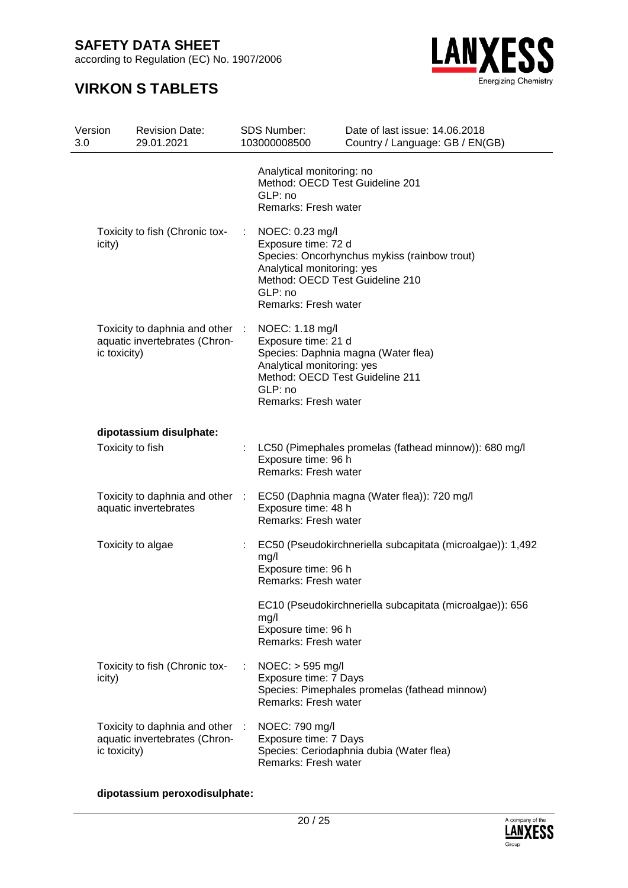according to Regulation (EC) No. 1907/2006

### **VIRKON S TABLETS**



| Version<br>3.0 |                  | <b>Revision Date:</b><br>29.01.2021                              |    | <b>SDS Number:</b><br>103000008500                                                                                                         | Date of last issue: 14.06.2018<br>Country / Language: GB / EN(GB) |
|----------------|------------------|------------------------------------------------------------------|----|--------------------------------------------------------------------------------------------------------------------------------------------|-------------------------------------------------------------------|
|                |                  |                                                                  |    | Analytical monitoring: no<br>Method: OECD Test Guideline 201<br>GLP: no<br>Remarks: Fresh water                                            |                                                                   |
|                | icity)           | Toxicity to fish (Chronic tox-                                   | ÷. | NOEC: 0.23 mg/l<br>Exposure time: 72 d<br>Analytical monitoring: yes<br>Method: OECD Test Guideline 210<br>GLP: no<br>Remarks: Fresh water | Species: Oncorhynchus mykiss (rainbow trout)                      |
|                | ic toxicity)     | Toxicity to daphnia and other :<br>aquatic invertebrates (Chron- |    | NOEC: 1.18 mg/l<br>Exposure time: 21 d<br>Analytical monitoring: yes<br>Method: OECD Test Guideline 211<br>GLP: no<br>Remarks: Fresh water | Species: Daphnia magna (Water flea)                               |
|                |                  | dipotassium disulphate:                                          |    |                                                                                                                                            |                                                                   |
|                | Toxicity to fish |                                                                  |    | Exposure time: 96 h<br>Remarks: Fresh water                                                                                                | LC50 (Pimephales promelas (fathead minnow)): 680 mg/l             |
|                |                  | Toxicity to daphnia and other :<br>aquatic invertebrates         |    | Exposure time: 48 h<br>Remarks: Fresh water                                                                                                | EC50 (Daphnia magna (Water flea)): 720 mg/l                       |
|                |                  | Toxicity to algae                                                | ÷. | mg/l<br>Exposure time: 96 h<br>Remarks: Fresh water                                                                                        | EC50 (Pseudokirchneriella subcapitata (microalgae)): 1,492        |
|                |                  |                                                                  |    | mg/l<br>Exposure time: 96 h<br>Remarks: Fresh water                                                                                        | EC10 (Pseudokirchneriella subcapitata (microalgae)): 656          |
|                | icity)           | Toxicity to fish (Chronic tox-                                   |    | $NOEC:$ > 595 mg/l<br>Exposure time: 7 Days<br>Remarks: Fresh water                                                                        | Species: Pimephales promelas (fathead minnow)                     |
|                | ic toxicity)     | Toxicity to daphnia and other<br>aquatic invertebrates (Chron-   |    | NOEC: 790 mg/l<br>Exposure time: 7 Days<br>Remarks: Fresh water                                                                            | Species: Ceriodaphnia dubia (Water flea)                          |

**dipotassium peroxodisulphate:**

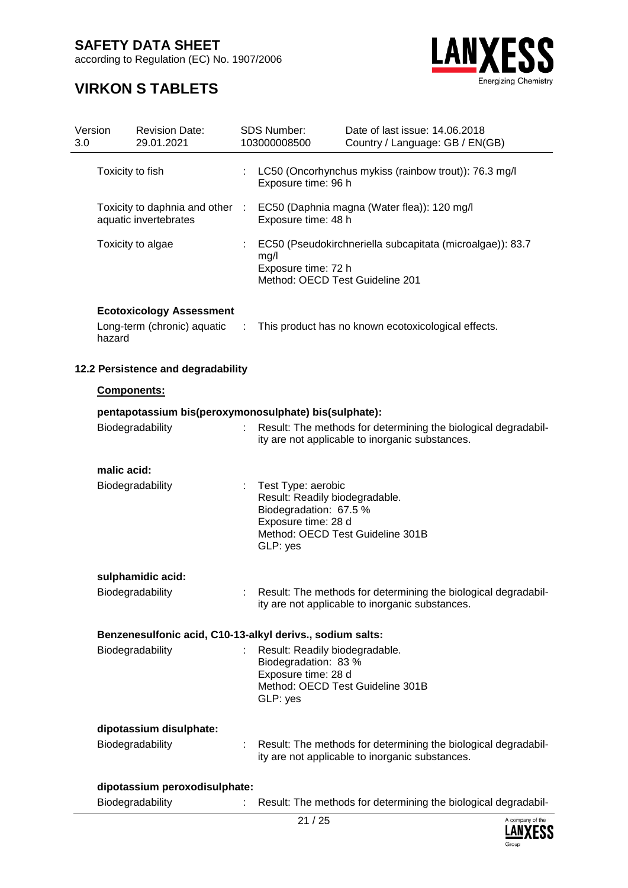according to Regulation (EC) No. 1907/2006



| Version<br>3.0 |                                                       | <b>Revision Date:</b><br>29.01.2021                       |   | SDS Number:<br>103000008500                                                                                       | Date of last issue: 14.06.2018<br>Country / Language: GB / EN(GB)                                                 |  |
|----------------|-------------------------------------------------------|-----------------------------------------------------------|---|-------------------------------------------------------------------------------------------------------------------|-------------------------------------------------------------------------------------------------------------------|--|
|                | Toxicity to fish                                      |                                                           |   | Exposure time: 96 h                                                                                               | LC50 (Oncorhynchus mykiss (rainbow trout)): 76.3 mg/l                                                             |  |
|                |                                                       | Toxicity to daphnia and other :<br>aquatic invertebrates  |   | Exposure time: 48 h                                                                                               | EC50 (Daphnia magna (Water flea)): 120 mg/l                                                                       |  |
|                |                                                       | Toxicity to algae                                         | ÷ | mg/l<br>Exposure time: 72 h<br>Method: OECD Test Guideline 201                                                    | EC50 (Pseudokirchneriella subcapitata (microalgae)): 83.7                                                         |  |
|                |                                                       | <b>Ecotoxicology Assessment</b>                           |   |                                                                                                                   |                                                                                                                   |  |
|                | hazard                                                | Long-term (chronic) aquatic :                             |   |                                                                                                                   | This product has no known ecotoxicological effects.                                                               |  |
|                |                                                       | 12.2 Persistence and degradability                        |   |                                                                                                                   |                                                                                                                   |  |
|                | Components:                                           |                                                           |   |                                                                                                                   |                                                                                                                   |  |
|                | pentapotassium bis(peroxymonosulphate) bis(sulphate): |                                                           |   |                                                                                                                   |                                                                                                                   |  |
|                |                                                       | Biodegradability                                          |   |                                                                                                                   | Result: The methods for determining the biological degradabil-<br>ity are not applicable to inorganic substances. |  |
|                | malic acid:                                           |                                                           |   |                                                                                                                   |                                                                                                                   |  |
|                |                                                       | Biodegradability                                          |   | Test Type: aerobic<br>Result: Readily biodegradable.<br>Biodegradation: 67.5 %<br>Exposure time: 28 d<br>GLP: yes | Method: OECD Test Guideline 301B                                                                                  |  |
|                |                                                       | sulphamidic acid:                                         |   |                                                                                                                   |                                                                                                                   |  |
|                |                                                       | Biodegradability                                          |   |                                                                                                                   | Result: The methods for determining the biological degradabil-<br>ity are not applicable to inorganic substances. |  |
|                |                                                       | Benzenesulfonic acid, C10-13-alkyl derivs., sodium salts: |   |                                                                                                                   |                                                                                                                   |  |
|                |                                                       | Biodegradability                                          |   | Result: Readily biodegradable.<br>Biodegradation: 83 %<br>Exposure time: 28 d<br>GLP: yes                         | Method: OECD Test Guideline 301B                                                                                  |  |
|                |                                                       | dipotassium disulphate:                                   |   |                                                                                                                   |                                                                                                                   |  |
|                |                                                       | Biodegradability                                          |   |                                                                                                                   | Result: The methods for determining the biological degradabil-<br>ity are not applicable to inorganic substances. |  |
|                |                                                       | dipotassium peroxodisulphate:                             |   |                                                                                                                   |                                                                                                                   |  |
|                |                                                       | Biodegradability                                          |   |                                                                                                                   | Result: The methods for determining the biological degradabil-                                                    |  |

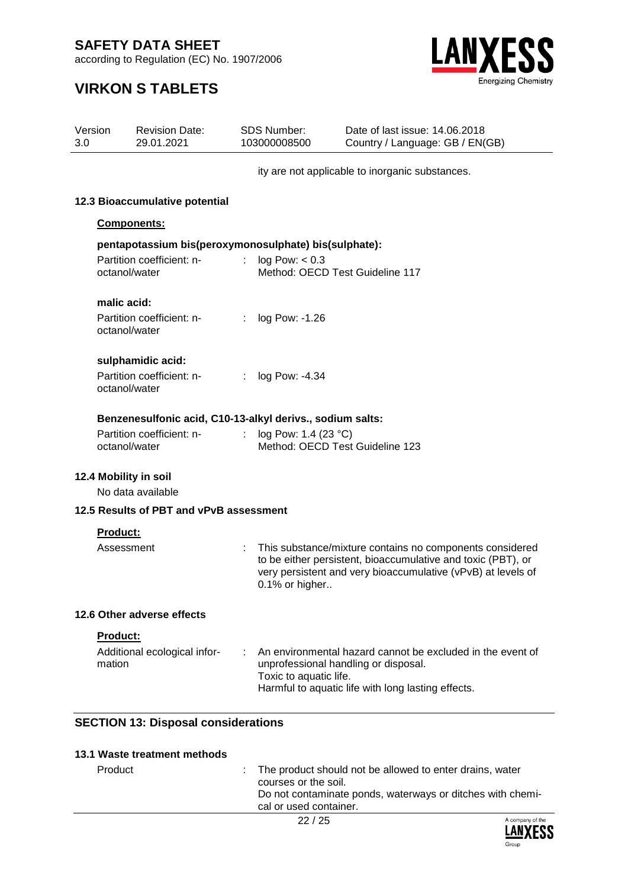according to Regulation (EC) No. 1907/2006



| Version<br>3.0 | <b>Revision Date:</b><br>29.01.2021                             | <b>SDS Number:</b><br>103000008500             | Date of last issue: 14.06.2018<br>Country / Language: GB / EN(GB)                                                                                                                        |
|----------------|-----------------------------------------------------------------|------------------------------------------------|------------------------------------------------------------------------------------------------------------------------------------------------------------------------------------------|
|                |                                                                 |                                                | ity are not applicable to inorganic substances.                                                                                                                                          |
|                | 12.3 Bioaccumulative potential                                  |                                                |                                                                                                                                                                                          |
|                | Components:                                                     |                                                |                                                                                                                                                                                          |
|                | pentapotassium bis(peroxymonosulphate) bis(sulphate):           |                                                |                                                                                                                                                                                          |
|                | Partition coefficient: n-<br>octanol/water                      | log Pow: < 0.3                                 | Method: OECD Test Guideline 117                                                                                                                                                          |
|                | malic acid:<br>Partition coefficient: n-<br>octanol/water       | log Pow: -1.26                                 |                                                                                                                                                                                          |
|                | sulphamidic acid:<br>Partition coefficient: n-<br>octanol/water | log Pow: -4.34<br>÷                            |                                                                                                                                                                                          |
|                | Benzenesulfonic acid, C10-13-alkyl derivs., sodium salts:       |                                                |                                                                                                                                                                                          |
|                | Partition coefficient: n-<br>octanol/water                      | log Pow: 1.4 (23 °C)                           | Method: OECD Test Guideline 123                                                                                                                                                          |
|                | 12.4 Mobility in soil<br>No data available                      |                                                |                                                                                                                                                                                          |
|                | 12.5 Results of PBT and vPvB assessment                         |                                                |                                                                                                                                                                                          |
|                | Product:                                                        |                                                |                                                                                                                                                                                          |
|                | Assessment                                                      | 0.1% or higher                                 | This substance/mixture contains no components considered<br>to be either persistent, bioaccumulative and toxic (PBT), or<br>very persistent and very bioaccumulative (vPvB) at levels of |
|                | 12.6 Other adverse effects                                      |                                                |                                                                                                                                                                                          |
|                | Product:<br>Additional ecological infor-<br>mation              | Toxic to aquatic life.                         | An environmental hazard cannot be excluded in the event of<br>unprofessional handling or disposal.<br>Harmful to aquatic life with long lasting effects.                                 |
|                | <b>SECTION 13: Disposal considerations</b>                      |                                                |                                                                                                                                                                                          |
|                | 13.1 Waste treatment methods                                    |                                                |                                                                                                                                                                                          |
|                | Product                                                         | courses or the soil.<br>cal or used container. | The product should not be allowed to enter drains, water<br>Do not contaminate ponds, waterways or ditches with chemi-                                                                   |

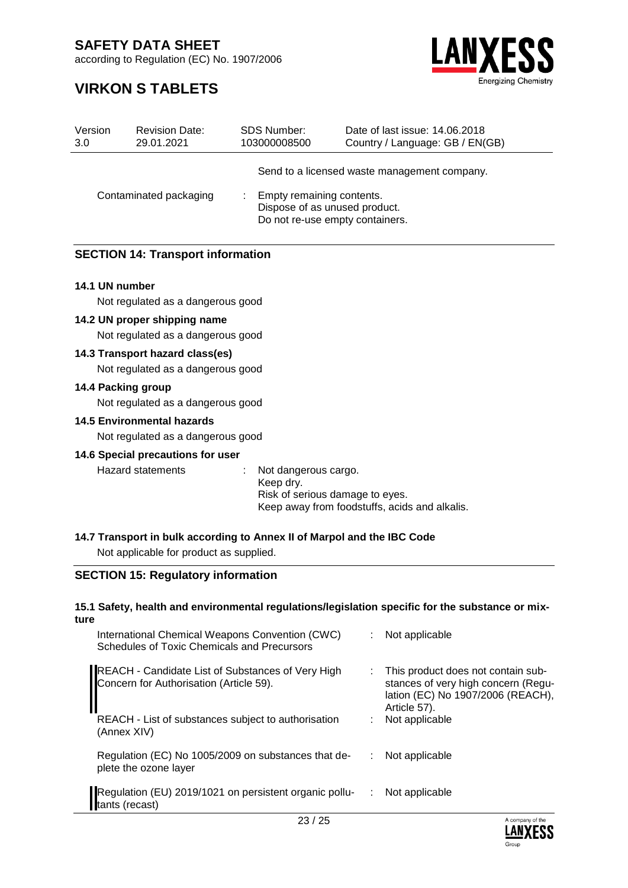according to Regulation (EC) No. 1907/2006

### **VIRKON S TABLETS**



| Version<br>3.0         | <b>Revision Date:</b><br>29.01.2021 | SDS Number:<br>103000008500                                                                   | Date of last issue: 14,06,2018<br>Country / Language: GB / EN(GB) |
|------------------------|-------------------------------------|-----------------------------------------------------------------------------------------------|-------------------------------------------------------------------|
|                        |                                     |                                                                                               | Send to a licensed waste management company.                      |
| Contaminated packaging |                                     | Empty remaining contents.<br>Dispose of as unused product.<br>Do not re-use empty containers. |                                                                   |

#### **SECTION 14: Transport information**

#### **14.1 UN number**

Not regulated as a dangerous good

#### **14.2 UN proper shipping name**

Not regulated as a dangerous good

#### **14.3 Transport hazard class(es)**

Not regulated as a dangerous good

#### **14.4 Packing group**

Not regulated as a dangerous good

#### **14.5 Environmental hazards**

Not regulated as a dangerous good

#### **14.6 Special precautions for user**

Hazard statements : Not dangerous cargo. Keep dry. Risk of serious damage to eyes. Keep away from foodstuffs, acids and alkalis.

#### **14.7 Transport in bulk according to Annex II of Marpol and the IBC Code**

Not applicable for product as supplied.

#### **SECTION 15: Regulatory information**

#### **15.1 Safety, health and environmental regulations/legislation specific for the substance or mixture**

| International Chemical Weapons Convention (CWC)<br>Schedules of Toxic Chemicals and Precursors |    | Not applicable                                                                                                                 |
|------------------------------------------------------------------------------------------------|----|--------------------------------------------------------------------------------------------------------------------------------|
| REACH - Candidate List of Substances of Very High<br>Concern for Authorisation (Article 59).   | t. | This product does not contain sub-<br>stances of very high concern (Regu-<br>lation (EC) No 1907/2006 (REACH),<br>Article 57). |
| REACH - List of substances subject to authorisation<br>(Annex XIV)                             |    | Not applicable                                                                                                                 |
| Regulation (EC) No 1005/2009 on substances that de-<br>plete the ozone layer                   |    | Not applicable                                                                                                                 |
| Regulation (EU) 2019/1021 on persistent organic pollu-<br>tants (recast)                       | ÷. | Not applicable                                                                                                                 |

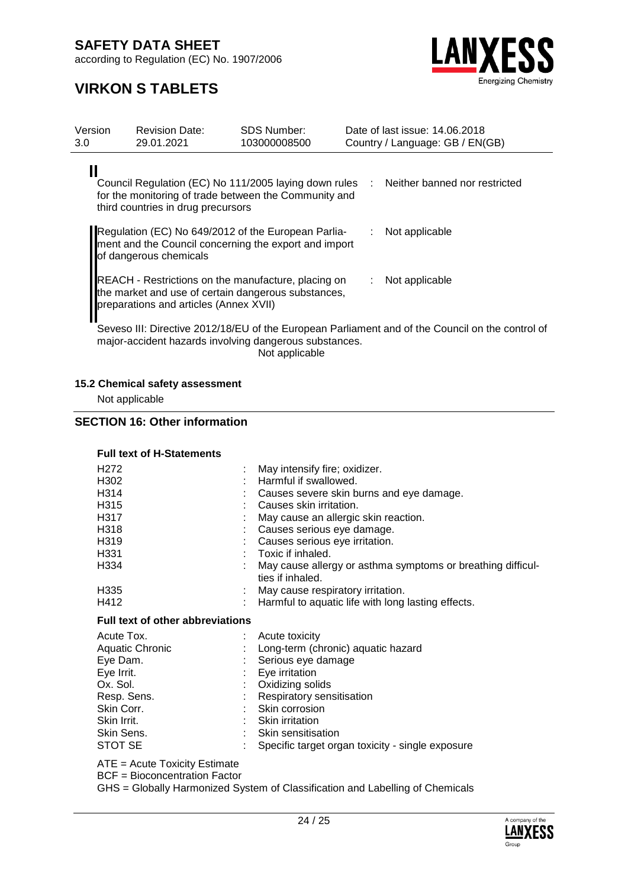according to Regulation (EC) No. 1907/2006



### **VIRKON S TABLETS**

| Version<br>3.0 | <b>Revision Date:</b><br>29.01.2021                                                                                                                  | <b>SDS Number:</b><br>103000008500 | Date of last issue: 14.06.2018<br>Country / Language: GB / EN(GB)                                |  |
|----------------|------------------------------------------------------------------------------------------------------------------------------------------------------|------------------------------------|--------------------------------------------------------------------------------------------------|--|
|                | for the monitoring of trade between the Community and<br>third countries in drug precursors                                                          |                                    | Council Regulation (EC) No 111/2005 laying down rules : Neither banned nor restricted            |  |
|                | Regulation (EC) No 649/2012 of the European Parlia-<br>ment and the Council concerning the export and import<br>of dangerous chemicals               |                                    | : Not applicable                                                                                 |  |
|                | REACH - Restrictions on the manufacture, placing on<br>the market and use of certain dangerous substances,<br>preparations and articles (Annex XVII) |                                    | Not applicable                                                                                   |  |
|                | major-accident hazards involving dangerous substances.                                                                                               | Not applicable                     | Seveso III: Directive 2012/18/EU of the European Parliament and of the Council on the control of |  |

#### **15.2 Chemical safety assessment**

Not applicable

#### **SECTION 16: Other information**

#### **Full text of H-Statements**

|                                         | May intensify fire; oxidizer.<br>Harmful if swallowed.<br>Causes severe skin burns and eye damage.<br>Causes skin irritation.<br>May cause an allergic skin reaction.<br>Causes serious eye damage.<br>Causes serious eye irritation.<br>Toxic if inhaled.<br>May cause allergy or asthma symptoms or breathing difficul- |  |
|-----------------------------------------|---------------------------------------------------------------------------------------------------------------------------------------------------------------------------------------------------------------------------------------------------------------------------------------------------------------------------|--|
|                                         | ties if inhaled.<br>: May cause respiratory irritation.<br>Harmful to aquatic life with long lasting effects.                                                                                                                                                                                                             |  |
| <b>Full text of other abbreviations</b> |                                                                                                                                                                                                                                                                                                                           |  |
|                                         | Acute toxicity<br>Long-term (chronic) aquatic hazard<br>Serious eye damage<br>Eye irritation<br>Oxidizing solids<br>Respiratory sensitisation<br>: Skin corrosion<br>: Skin irritation<br>Skin sensitisation<br>Specific target organ toxicity - single exposure                                                          |  |
|                                         |                                                                                                                                                                                                                                                                                                                           |  |

ATE = Acute Toxicity Estimate

BCF = Bioconcentration Factor

GHS = Globally Harmonized System of Classification and Labelling of Chemicals